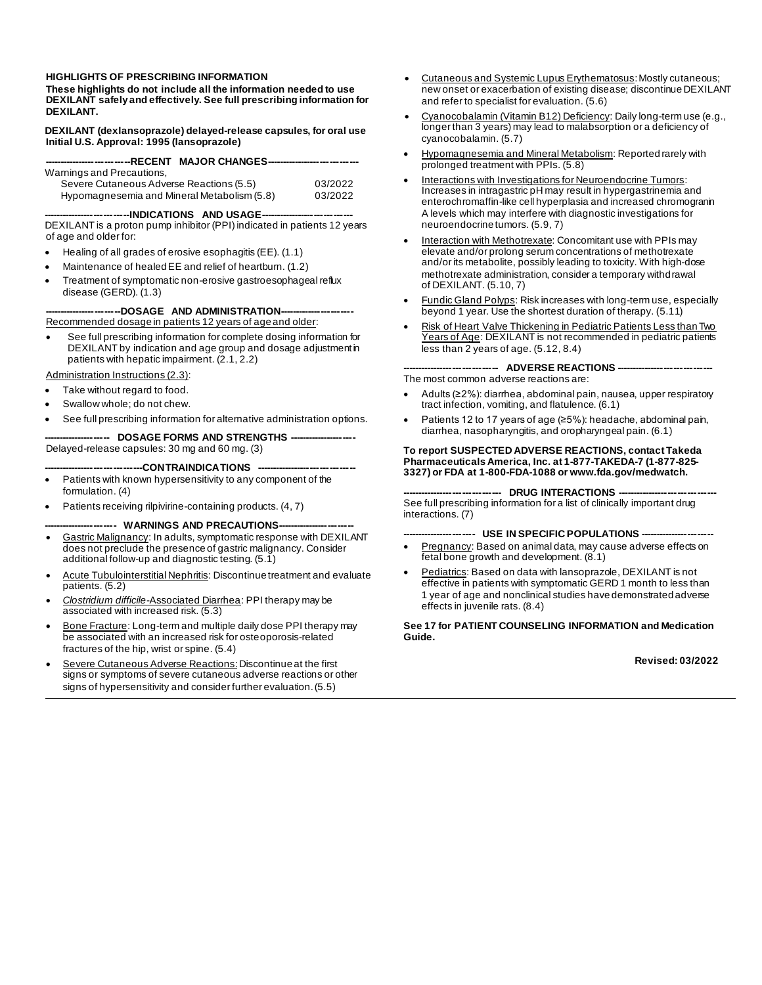#### **HIGHLIGHTS OF PRESCRIBING INFORMATION**

**These highlights do not include all the information needed to use DEXILANT safely and effectively. See full prescribing information for DEXILANT.**

#### **DEXILANT (dexlansoprazole) delayed-release capsules, for oral use Initial U.S. Approval: 1995 (lansoprazole)**

| ----------------- --- ---- --RECENT MAJOR CHANGES-------------------- --- ---- --- |         |
|------------------------------------------------------------------------------------|---------|
| Warnings and Precautions,                                                          |         |
| Severe Cutaneous Adverse Reactions (5.5)                                           | 03/2022 |
| Hypomagnesemia and Mineral Metabolism (5.8)                                        | 03/2022 |

-----INDICATIONS AND USAGE--DEXILANT is a proton pump inhibitor (PPI) indicated in patients 12 years of age and older for:

- Healing of all grades of erosive esophagitis (EE). (1.1)
- Maintenance of healed EE and relief of heartburn. (1.2)
- Treatment of symptomatic non-erosive gastroesophageal reflux disease (GERD). (1.3)

#### ---DOSAGE AND ADMINISTRATION---

#### Recommended dosage in patients 12 years of age and older:

See full prescribing information for complete dosing information for DEXILANT by indication and age group and dosage adjustment in patients with hepatic impairment. (2.1, 2.2)

#### Administration Instructions (2.3):

- Take without regard to food.
- Swallow whole; do not chew.
- See full prescribing information for alternative administration options.

**--- DOSAGE FORMS AND STRENGTHS --**Delayed-release capsules: 30 mg and 60 mg. (3)

- ---CONTRAINDICATIONS -
- Patients with known hypersensitivity to any component of the formulation. (4)
- Patients receiving rilpivirine-containing products. (4, 7)

#### -- WARNINGS AND PRECAUTIONS-

- Gastric Malignancy: In adults, symptomatic response with DEXILANT does not preclude the presence of gastric malignancy. Consider additional follow-up and diagnostic testing. (5.1)
- Acute Tubulointerstitial Nephritis: Discontinue treatment and evaluate patients. (5.2)
- *Clostridium difficile*-Associated Diarrhea: PPI therapy may be associated with increased risk. (5.3)
- Bone Fracture: Long-term and multiple daily dose PPI therapy may be associated with an increased risk for osteoporosis-related fractures of the hip, wrist or spine. (5.4)
- Severe Cutaneous Adverse Reactions: Discontinue at the first signs or symptoms of severe cutaneous adverse reactions or other signs of hypersensitivity and consider further evaluation. (5.5)
- Cutaneous and Systemic Lupus Erythematosus: Mostly cutaneous; new onset or exacerbation of existing disease; discontinue DEXILANT and refer to specialist for evaluation. (5.6)
- Cyanocobalamin (Vitamin B12) Deficiency: Daily long-term use (e.g., longer than 3 years) may lead to malabsorption or a deficiency of cyanocobalamin. (5.7)
- Hypomagnesemia and Mineral Metabolism: Reported rarely with prolonged treatment with PPIs. (5.8)
- Interactions with Investigations for Neuroendocrine Tumors: Increases in intragastric pH may result in hypergastrinemia and enterochromaffin-like cell hyperplasia and increased chromogranin A levels which may interfere with diagnostic investigations for neuroendocrine tumors. (5.9, 7)
- Interaction with Methotrexate: Concomitant use with PPIs may elevate and/or prolong serum concentrations of methotrexate and/or its metabolite, possibly leading to toxicity. With high-dose methotrexate administration, consider a temporary withdrawal of DEXILANT. (5.10, 7)
- Fundic Gland Polyps: Risk increases with long-term use, especially beyond 1 year. Use the shortest duration of therapy. (5.11)
- Risk of Heart Valve Thickening in Pediatric Patients Less than Two Years of Age: DEXILANT is not recommended in pediatric patients less than 2 years of age. (5.12, 8.4)

#### **------------------------------ ADVERSE REACTIONS ------------------------------**

The most common adverse reactions are:

- Adults (≥2%): diarrhea, abdominal pain, nausea, upper respiratory tract infection, vomiting, and flatulence. (6.1)
- Patients 12 to 17 years of age (≥5%): headache, abdominal pain, diarrhea, nasopharyngitis, and oropharyngeal pain. (6.1)

#### **To report SUSPECTED ADVERSE REACTIONS, contact Takeda Pharmaceuticals America, Inc. at 1-877-TAKEDA-7 (1-877-825- 3327) or FDA at 1-800-FDA-1088 or www.fda.gov/medwatch.**

# **------------------------------- DRUG INTERACTIONS -------------------------------**

See full prescribing information for a list of clinically important drug interactions. (7)

#### **----------------------- USE IN SPECIFIC POPULATIONS -----------------------**

- Pregnancy: Based on animal data, may cause adverse effects on fetal bone growth and development. (8.1)
- Pediatrics: Based on data with lansoprazole, DEXILANT is not effective in patients with symptomatic GERD 1 month to less than 1 year of age and nonclinical studies have demonstrated adverse effects in juvenile rats. (8.4)

**See 17 for PATIENT COUNSELING INFORMATION and Medication Guide.**

#### **Revised: 03/2022**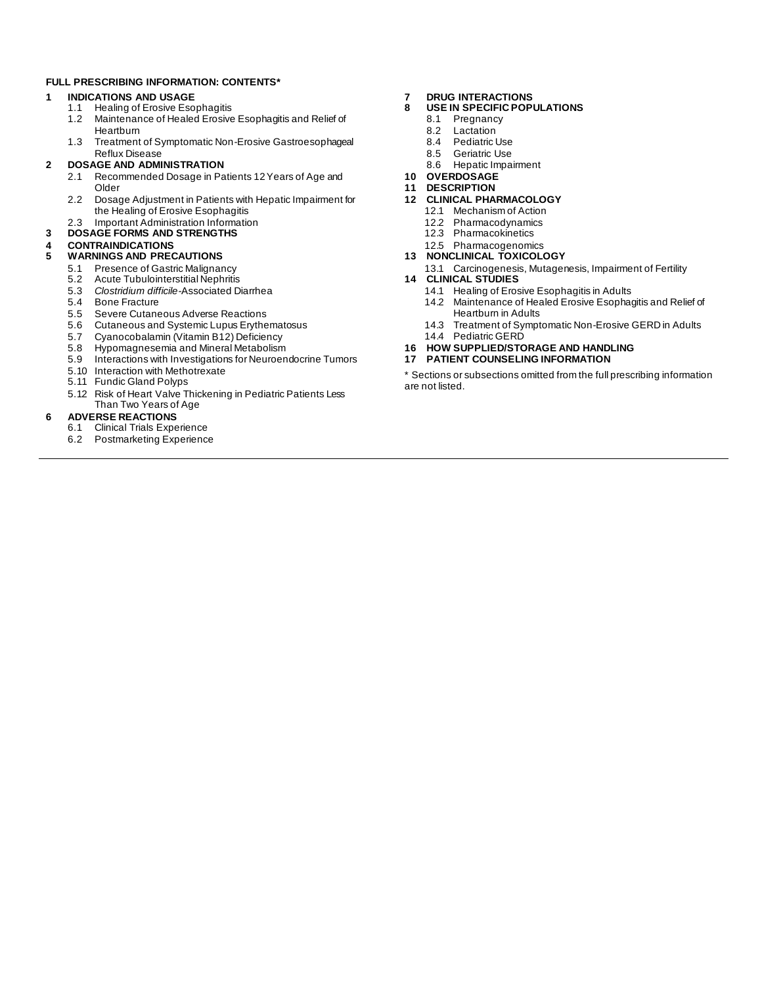#### **FULL PRESCRIBING INFORMATION: CONTENTS\***

#### **1 INDICATIONS AND USAGE**

- 
- 1.1 Healing of Erosive Esophagitis<br>1.2 Maintenance of Healed Erosive Maintenance of Healed Erosive Esophagitis and Relief of **Heartburn**
- 1.3 Treatment of Symptomatic Non-Erosive Gastroesophageal Reflux Disease

#### **2 DOSAGE AND ADMINISTRATION**

- 2.1 Recommended Dosage in Patients 12 Years of Age and Older
- 2.2 Dosage Adjustment in Patients with Hepatic Impairment for the Healing of Erosive Esophagitis
- 2.3 Important Administration Information

#### **3 DOSAGE FORMS AND STRENGTHS**

#### **4 CONTRAINDICATIONS**

- **5 WARNINGS AND PRECAUTIONS**
	- 5.1 Presence of Gastric Malignancy<br>5.2 Acute Tubulointerstitial Nephritis
	- Acute Tubulointerstitial Nephritis
	- 5.3 *Clostridium difficile*-Associated Diarrhea
	- Bone Fracture
	- 5.5 Severe Cutaneous Adverse Reactions<br>5.6 Cutaneous and Systemic Lupus Erythe
	- 5.6 Cutaneous and Systemic Lupus Erythematosus
	-
	- 5.7 Cyanocobalamin (Vitamin B12) Deficiency<br>5.8 Hypomagnesemia and Mineral Metabolism Hypomagnesemia and Mineral Metabolism
	- 5.9 Interactions with Investigations for Neuroendocrine Tumors
	- 5.10 Interaction with Methotrexate
	- 5.11 Fundic Gland Polyps
	- 5.12 Risk of Heart Valve Thickening in Pediatric Patients Less Than Two Years of Age

#### **6 ADVERSE REACTIONS**

- 6.1 Clinical Trials Experience
- 6.2 Postmarketing Experience

#### **7 DRUG INTERACTIONS**

- **8 USE IN SPECIFIC POPULATIONS**
	- Pregnancy
	- 8.2 Lactation<br>8.4 Pediatric
	- Pediatric Use
	- 8.5 Geriatric Use<br>8.6 Hepatic Impa
	- Hepatic Impairment
- **10 OVERDOSAGE**
- **11 DESCRIPTION**
- **12 CLINICAL PHARMACOLOGY** 12.1 Mechanism of Action
	-
	- 12.2 Pharmacodynamics 12.3 Pharmacokinetics
	-
	- 12.5 Pharmacogenomics
- **13 NONCLINICAL TOXICOLOGY**
- 13.1 Carcinogenesis, Mutagenesis, Impairment of Fertility
- **14 CLINICAL STUDIES**
	- 14.1 Healing of Erosive Esophagitis in Adults<br>14.2 Maintenance of Healed Erosive Esopha
		- Maintenance of Healed Erosive Esophagitis and Relief of Heartburn in Adults
	- 14.3 Treatment of Symptomatic Non-Erosive GERD in Adults 14.4 Pediatric GERD
- **16 HOW SUPPLIED/STORAGE AND HANDLING**
- **17 PATIENT COUNSELING INFORMATION**

\* Sections or subsections omitted from the full prescribing information are not listed.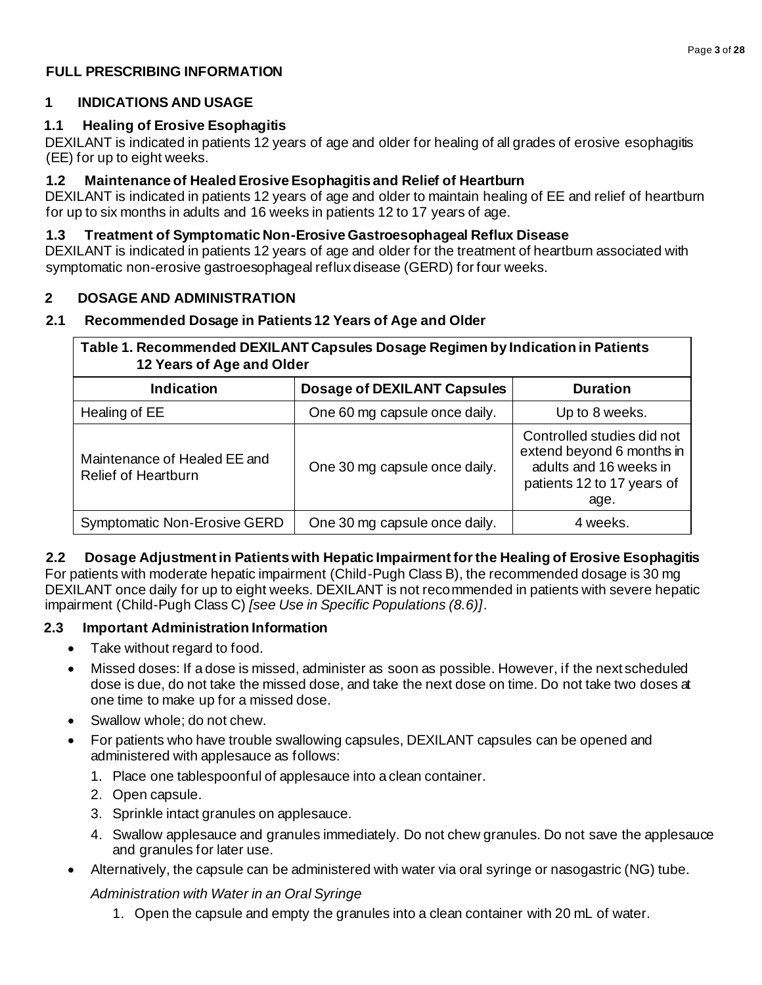# **FULL PRESCRIBING INFORMATION**

## **1 INDICATIONS AND USAGE**

# **1.1 Healing of Erosive Esophagitis**

DEXILANT is indicated in patients 12 years of age and older for healing of all grades of erosive esophagitis (EE) for up to eight weeks.

## **1.2 Maintenance of Healed Erosive Esophagitis and Relief of Heartburn**

DEXILANT is indicated in patients 12 years of age and older to maintain healing of EE and relief of heartburn for up to six months in adults and 16 weeks in patients 12 to 17 years of age.

## **1.3 Treatment of Symptomatic Non-Erosive Gastroesophageal Reflux Disease**

DEXILANT is indicated in patients 12 years of age and older for the treatment of heartburn associated with symptomatic non-erosive gastroesophageal reflux disease (GERD) for four weeks.

# **2 DOSAGE AND ADMINISTRATION**

## **2.1 Recommended Dosage in Patients 12 Years of Age and Older**

| Table 1. Recommended DEXILANT Capsules Dosage Regimen by Indication in Patients<br>12 Years of Age and Older |                               |                                                                                                                         |  |  |
|--------------------------------------------------------------------------------------------------------------|-------------------------------|-------------------------------------------------------------------------------------------------------------------------|--|--|
| <b>Indication</b>                                                                                            | Dosage of DEXILANT Capsules   | <b>Duration</b>                                                                                                         |  |  |
| Healing of EE                                                                                                | One 60 mg capsule once daily. | Up to 8 weeks.                                                                                                          |  |  |
| Maintenance of Healed EE and<br><b>Relief of Heartburn</b>                                                   | One 30 mg capsule once daily. | Controlled studies did not<br>extend beyond 6 months in<br>adults and 16 weeks in<br>patients 12 to 17 years of<br>age. |  |  |
| <b>Symptomatic Non-Erosive GERD</b>                                                                          | One 30 mg capsule once daily. | 4 weeks.                                                                                                                |  |  |

## **2.2 Dosage Adjustment in Patients with Hepatic Impairment for the Healing of Erosive Esophagitis**

For patients with moderate hepatic impairment (Child-Pugh Class B), the recommended dosage is 30 mg DEXILANT once daily for up to eight weeks. DEXILANT is not recommended in patients with severe hepatic impairment (Child-Pugh Class C) *[see Use in Specific Populations (8.6)]*.

## **2.3 Important Administration Information**

- Take without regard to food.
- Missed doses: If a dose is missed, administer as soon as possible. However, if the next scheduled dose is due, do not take the missed dose, and take the next dose on time. Do not take two doses at one time to make up for a missed dose.
- Swallow whole: do not chew.
- For patients who have trouble swallowing capsules, DEXILANT capsules can be opened and administered with applesauce as follows:
	- 1. Place one tablespoonful of applesauce into a clean container.
	- 2. Open capsule.
	- 3. Sprinkle intact granules on applesauce.
	- 4. Swallow applesauce and granules immediately. Do not chew granules. Do not save the applesauce and granules for later use.
- Alternatively, the capsule can be administered with water via oral syringe or nasogastric (NG) tube.

## *Administration with Water in an Oral Syringe*

1. Open the capsule and empty the granules into a clean container with 20 mL of water.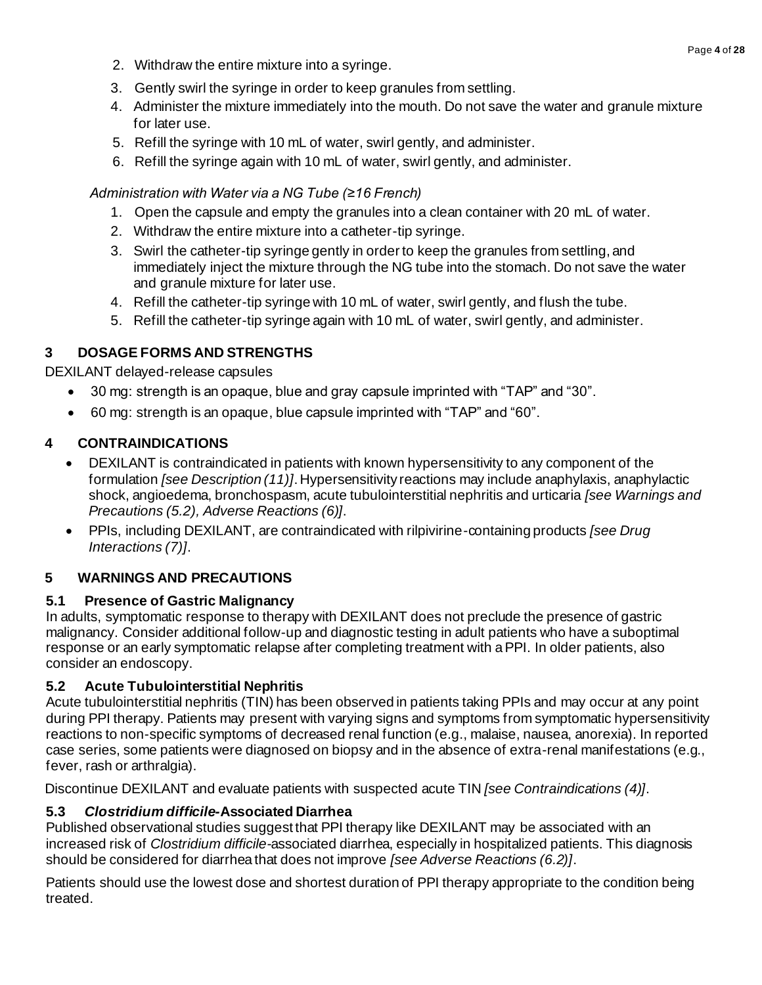- 2. Withdraw the entire mixture into a syringe.
- 3. Gently swirl the syringe in order to keep granules from settling.
- 4. Administer the mixture immediately into the mouth. Do not save the water and granule mixture for later use.
- 5. Refill the syringe with 10 mL of water, swirl gently, and administer.
- 6. Refill the syringe again with 10 mL of water, swirl gently, and administer.

#### *Administration with Water via a NG Tube (≥16 French)*

- 1. Open the capsule and empty the granules into a clean container with 20 mL of water.
- 2. Withdraw the entire mixture into a catheter-tip syringe.
- 3. Swirl the catheter-tip syringe gently in order to keep the granules from settling, and immediately inject the mixture through the NG tube into the stomach. Do not save the water and granule mixture for later use.
- 4. Refill the catheter-tip syringe with 10 mL of water, swirl gently, and flush the tube.
- 5. Refill the catheter-tip syringe again with 10 mL of water, swirl gently, and administer.

## **3 DOSAGE FORMS AND STRENGTHS**

DEXILANT delayed-release capsules

- 30 mg: strength is an opaque, blue and gray capsule imprinted with "TAP" and "30".
- 60 mg: strength is an opaque, blue capsule imprinted with "TAP" and "60".

#### **4 CONTRAINDICATIONS**

- DEXILANT is contraindicated in patients with known hypersensitivity to any component of the formulation *[see Description (11)]*. Hypersensitivity reactions may include anaphylaxis, anaphylactic shock, angioedema, bronchospasm, acute tubulointerstitial nephritis and urticaria *[see Warnings and Precautions (5.2), Adverse Reactions (6)]*.
- PPIs, including DEXILANT, are contraindicated with rilpivirine-containing products *[see Drug Interactions (7)]*.

## **5 WARNINGS AND PRECAUTIONS**

#### **5.1 Presence of Gastric Malignancy**

In adults, symptomatic response to therapy with DEXILANT does not preclude the presence of gastric malignancy. Consider additional follow-up and diagnostic testing in adult patients who have a suboptimal response or an early symptomatic relapse after completing treatment with a PPI. In older patients, also consider an endoscopy.

#### **5.2 Acute Tubulointerstitial Nephritis**

Acute tubulointerstitial nephritis (TIN) has been observed in patients taking PPIs and may occur at any point during PPI therapy. Patients may present with varying signs and symptoms from symptomatic hypersensitivity reactions to non-specific symptoms of decreased renal function (e.g., malaise, nausea, anorexia). In reported case series, some patients were diagnosed on biopsy and in the absence of extra-renal manifestations (e.g., fever, rash or arthralgia).

Discontinue DEXILANT and evaluate patients with suspected acute TIN *[see Contraindications (4)]*.

#### **5.3** *Clostridium difficile-***Associated Diarrhea**

Published observational studies suggest that PPI therapy like DEXILANT may be associated with an increased risk of *Clostridium difficile*-associated diarrhea, especially in hospitalized patients. This diagnosis should be considered for diarrhea that does not improve *[see Adverse Reactions (6.2)]*.

Patients should use the lowest dose and shortest duration of PPI therapy appropriate to the condition being treated.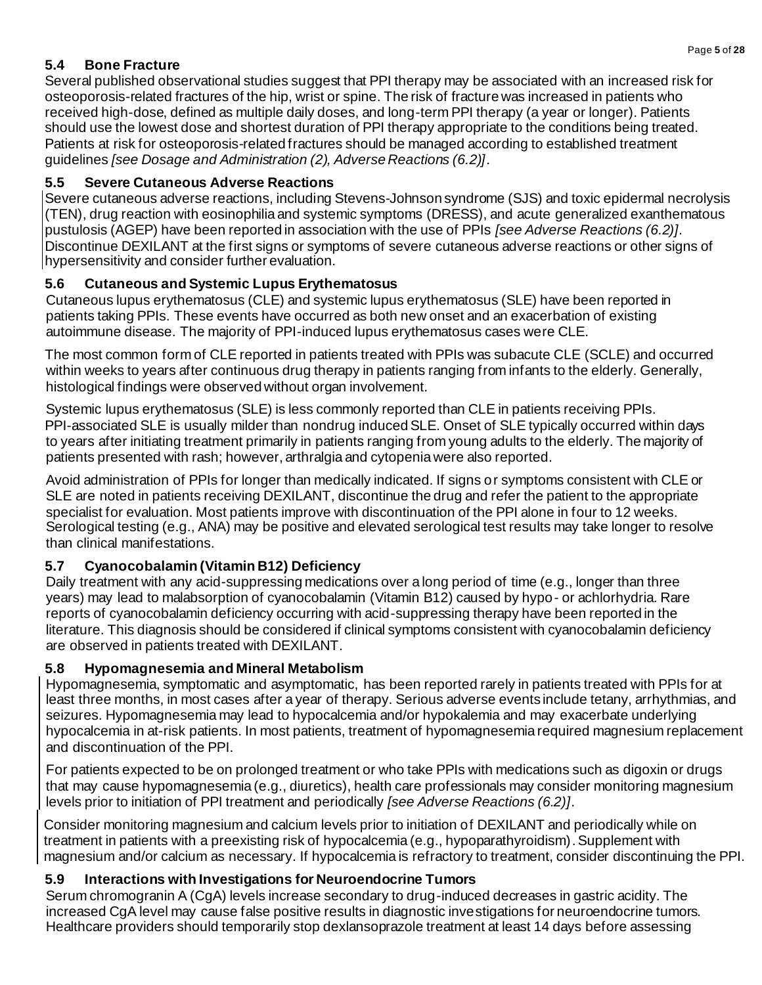# **5.4 Bone Fracture**

Several published observational studies suggest that PPI therapy may be associated with an increased risk for osteoporosis-related fractures of the hip, wrist or spine. The risk of fracture was increased in patients who received high-dose, defined as multiple daily doses, and long-term PPI therapy (a year or longer). Patients should use the lowest dose and shortest duration of PPI therapy appropriate to the conditions being treated. Patients at risk for osteoporosis-related fractures should be managed according to established treatment guidelines *[see Dosage and Administration (2), Adverse Reactions (6.2)]*.

# **5.5 Severe Cutaneous Adverse Reactions**

Severe cutaneous adverse reactions, including Stevens-Johnson syndrome (SJS) and toxic epidermal necrolysis (TEN), drug reaction with eosinophilia and systemic symptoms (DRESS), and acute generalized exanthematous pustulosis (AGEP) have been reported in association with the use of PPIs *[see Adverse Reactions (6.2)]*. Discontinue DEXILANT at the first signs or symptoms of severe cutaneous adverse reactions or other signs of hypersensitivity and consider further evaluation.

# **5.6 Cutaneous and Systemic Lupus Erythematosus**

Cutaneous lupus erythematosus (CLE) and systemic lupus erythematosus (SLE) have been reported in patients taking PPIs. These events have occurred as both new onset and an exacerbation of existing autoimmune disease. The majority of PPI-induced lupus erythematosus cases were CLE.

The most common form of CLE reported in patients treated with PPIs was subacute CLE (SCLE) and occurred within weeks to years after continuous drug therapy in patients ranging from infants to the elderly. Generally, histological findings were observed without organ involvement.

Systemic lupus erythematosus (SLE) is less commonly reported than CLE in patients receiving PPIs. PPI-associated SLE is usually milder than nondrug induced SLE. Onset of SLE typically occurred within days to years after initiating treatment primarily in patients ranging from young adults to the elderly. The majority of patients presented with rash; however, arthralgia and cytopenia were also reported.

Avoid administration of PPIs for longer than medically indicated. If signs or symptoms consistent with CLE or SLE are noted in patients receiving DEXILANT, discontinue the drug and refer the patient to the appropriate specialist for evaluation. Most patients improve with discontinuation of the PPI alone in four to 12 weeks. Serological testing (e.g., ANA) may be positive and elevated serological test results may take longer to resolve than clinical manifestations.

# **5.7 Cyanocobalamin (Vitamin B12) Deficiency**

Daily treatment with any acid-suppressing medications over a long period of time (e.g., longer than three years) may lead to malabsorption of cyanocobalamin (Vitamin B12) caused by hypo- or achlorhydria. Rare reports of cyanocobalamin deficiency occurring with acid-suppressing therapy have been reported in the literature. This diagnosis should be considered if clinical symptoms consistent with cyanocobalamin deficiency are observed in patients treated with DEXILANT.

# **5.8 Hypomagnesemia and Mineral Metabolism**

Hypomagnesemia, symptomatic and asymptomatic, has been reported rarely in patients treated with PPIs for at least three months, in most cases after a year of therapy. Serious adverse events include tetany, arrhythmias, and seizures. Hypomagnesemia may lead to hypocalcemia and/or hypokalemia and may exacerbate underlying hypocalcemia in at-risk patients. In most patients, treatment of hypomagnesemia required magnesium replacement and discontinuation of the PPI.

For patients expected to be on prolonged treatment or who take PPIs with medications such as digoxin or drugs that may cause hypomagnesemia (e.g., diuretics), health care professionals may consider monitoring magnesium levels prior to initiation of PPI treatment and periodically *[see Adverse Reactions (6.2)]*.

Consider monitoring magnesium and calcium levels prior to initiation of DEXILANT and periodically while on treatment in patients with a preexisting risk of hypocalcemia (e.g., hypoparathyroidism). Supplement with magnesium and/or calcium as necessary. If hypocalcemia is refractory to treatment, consider discontinuing the PPI.

# **5.9 Interactions with Investigations for Neuroendocrine Tumors**

Serum chromogranin A (CgA) levels increase secondary to drug-induced decreases in gastric acidity. The increased CgA level may cause false positive results in diagnostic investigations for neuroendocrine tumors. Healthcare providers should temporarily stop dexlansoprazole treatment at least 14 days before assessing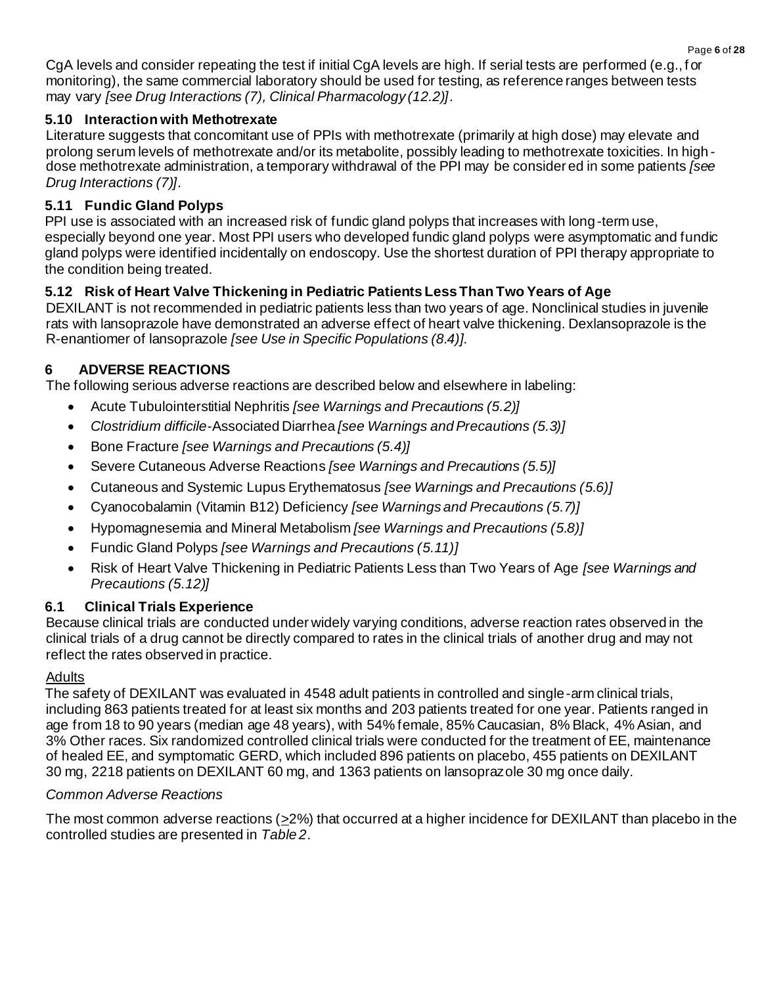CgA levels and consider repeating the test if initial CgA levels are high. If serial tests are performed (e.g., f or monitoring), the same commercial laboratory should be used for testing, as reference ranges between tests may vary *[see Drug Interactions (7), Clinical Pharmacology (12.2)]*.

## **5.10 Interaction with Methotrexate**

Literature suggests that concomitant use of PPIs with methotrexate (primarily at high dose) may elevate and prolong serum levels of methotrexate and/or its metabolite, possibly leading to methotrexate toxicities. In high dose methotrexate administration, a temporary withdrawal of the PPI may be considered in some patients *[see Drug Interactions (7)]*.

# **5.11 Fundic Gland Polyps**

PPI use is associated with an increased risk of fundic gland polyps that increases with long-term use, especially beyond one year. Most PPI users who developed fundic gland polyps were asymptomatic and fundic gland polyps were identified incidentally on endoscopy. Use the shortest duration of PPI therapy appropriate to the condition being treated.

# **5.12 Risk of Heart Valve Thickening in Pediatric Patients Less Than Two Years of Age**

DEXILANT is not recommended in pediatric patients less than two years of age. Nonclinical studies in juvenile rats with lansoprazole have demonstrated an adverse effect of heart valve thickening. Dexlansoprazole is the R-enantiomer of lansoprazole *[see Use in Specific Populations (8.4)].*

# **6 ADVERSE REACTIONS**

The following serious adverse reactions are described below and elsewhere in labeling:

- Acute Tubulointerstitial Nephritis *[see Warnings and Precautions (5.2)]*
- *Clostridium difficile*-Associated Diarrhea *[see Warnings and Precautions (5.3)]*
- Bone Fracture *[see Warnings and Precautions (5.4)]*
- Severe Cutaneous Adverse Reactions *[see Warnings and Precautions (5.5)]*
- Cutaneous and Systemic Lupus Erythematosus *[see Warnings and Precautions (5.6)]*
- Cyanocobalamin (Vitamin B12) Deficiency *[see Warnings and Precautions (5.7)]*
- Hypomagnesemia and Mineral Metabolism *[see Warnings and Precautions (5.8)]*
- Fundic Gland Polyps *[see Warnings and Precautions (5.11)]*
- Risk of Heart Valve Thickening in Pediatric Patients Less than Two Years of Age *[see Warnings and Precautions (5.12)]*

## **6.1 Clinical Trials Experience**

Because clinical trials are conducted under widely varying conditions, adverse reaction rates observed in the clinical trials of a drug cannot be directly compared to rates in the clinical trials of another drug and may not reflect the rates observed in practice.

## **Adults**

The safety of DEXILANT was evaluated in 4548 adult patients in controlled and single-arm clinical trials, including 863 patients treated for at least six months and 203 patients treated for one year. Patients ranged in age from 18 to 90 years (median age 48 years), with 54% female, 85% Caucasian, 8% Black, 4% Asian, and 3% Other races. Six randomized controlled clinical trials were conducted for the treatment of EE, maintenance of healed EE, and symptomatic GERD, which included 896 patients on placebo, 455 patients on DEXILANT 30 mg, 2218 patients on DEXILANT 60 mg, and 1363 patients on lansoprazole 30 mg once daily.

## *Common Adverse Reactions*

The most common adverse reactions ( $\geq$ 2%) that occurred at a higher incidence for DEXILANT than placebo in the controlled studies are presented in *Table 2*.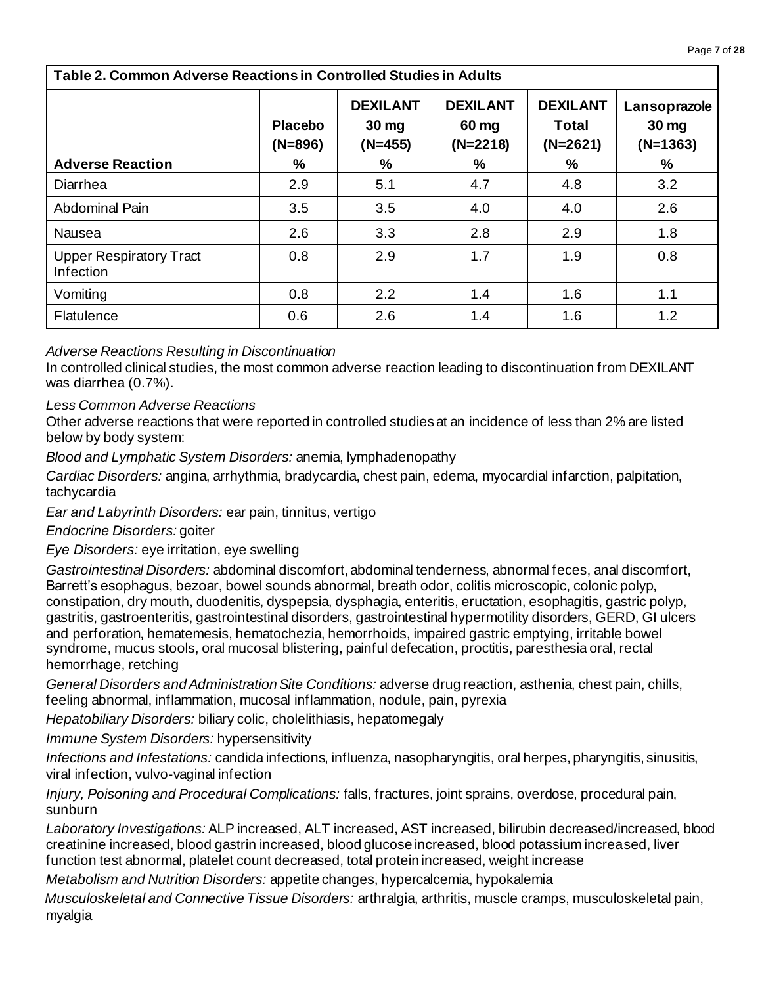**Table 2. Common Adverse Reactions in Controlled Studies in Adults**

|                                             | <b>Placebo</b><br>$(N=896)$ | <b>DEXILANT</b><br>30 <sub>mg</sub><br>$(N=455)$ | <b>DEXILANT</b><br>60 mg<br>$(N=2218)$ | <b>DEXILANT</b><br><b>Total</b><br>$(N=2621)$ | Lansoprazole<br>30 mg<br>$(N=1363)$ |
|---------------------------------------------|-----------------------------|--------------------------------------------------|----------------------------------------|-----------------------------------------------|-------------------------------------|
| <b>Adverse Reaction</b>                     | %                           | %                                                | %                                      | %                                             | %                                   |
| Diarrhea                                    | 2.9                         | 5.1                                              | 4.7                                    | 4.8                                           | 3.2                                 |
| Abdominal Pain                              | 3.5                         | 3.5                                              | 4.0                                    | 4.0                                           | 2.6                                 |
| Nausea                                      | 2.6                         | 3.3                                              | 2.8                                    | 2.9                                           | 1.8                                 |
| <b>Upper Respiratory Tract</b><br>Infection | 0.8                         | 2.9                                              | 1.7                                    | 1.9                                           | 0.8                                 |
| Vomiting                                    | 0.8                         | 2.2                                              | 1.4                                    | 1.6                                           | 1.1                                 |
| Flatulence                                  | 0.6                         | 2.6                                              | 1.4                                    | 1.6                                           | 1.2                                 |

#### *Adverse Reactions Resulting in Discontinuation*

In controlled clinical studies, the most common adverse reaction leading to discontinuation from DEXILANT was diarrhea (0.7%).

#### *Less Common Adverse Reactions*

Other adverse reactions that were reported in controlled studies at an incidence of less than 2% are listed below by body system:

*Blood and Lymphatic System Disorders:* anemia, lymphadenopathy

*Cardiac Disorders:* angina, arrhythmia, bradycardia, chest pain, edema, myocardial infarction, palpitation, tachycardia

*Ear and Labyrinth Disorders:* ear pain, tinnitus, vertigo

*Endocrine Disorders:* goiter

*Eye Disorders:* eye irritation, eye swelling

*Gastrointestinal Disorders:* abdominal discomfort, abdominal tenderness, abnormal feces, anal discomfort, Barrett's esophagus, bezoar, bowel sounds abnormal, breath odor, colitis microscopic, colonic polyp, constipation, dry mouth, duodenitis, dyspepsia, dysphagia, enteritis, eructation, esophagitis, gastric polyp, gastritis, gastroenteritis, gastrointestinal disorders, gastrointestinal hypermotility disorders, GERD, GI ulcers and perforation, hematemesis, hematochezia, hemorrhoids, impaired gastric emptying, irritable bowel syndrome, mucus stools, oral mucosal blistering, painful defecation, proctitis, paresthesia oral, rectal hemorrhage, retching

*General Disorders and Administration Site Conditions:* adverse drug reaction, asthenia, chest pain, chills, feeling abnormal, inflammation, mucosal inflammation, nodule, pain, pyrexia

*Hepatobiliary Disorders:* biliary colic, cholelithiasis, hepatomegaly

*Immune System Disorders:* hypersensitivity

*Infections and Infestations:* candida infections, influenza, nasopharyngitis, oral herpes, pharyngitis, sinusitis, viral infection, vulvo-vaginal infection

*Injury, Poisoning and Procedural Complications:* falls, fractures, joint sprains, overdose, procedural pain, sunburn

*Laboratory Investigations:* ALP increased, ALT increased, AST increased, bilirubin decreased/increased, blood creatinine increased, blood gastrin increased, blood glucose increased, blood potassium increased, liver function test abnormal, platelet count decreased, total protein increased, weight increase

*Metabolism and Nutrition Disorders:* appetite changes, hypercalcemia, hypokalemia

*Musculoskeletal and Connective Tissue Disorders:* arthralgia, arthritis, muscle cramps, musculoskeletal pain, myalgia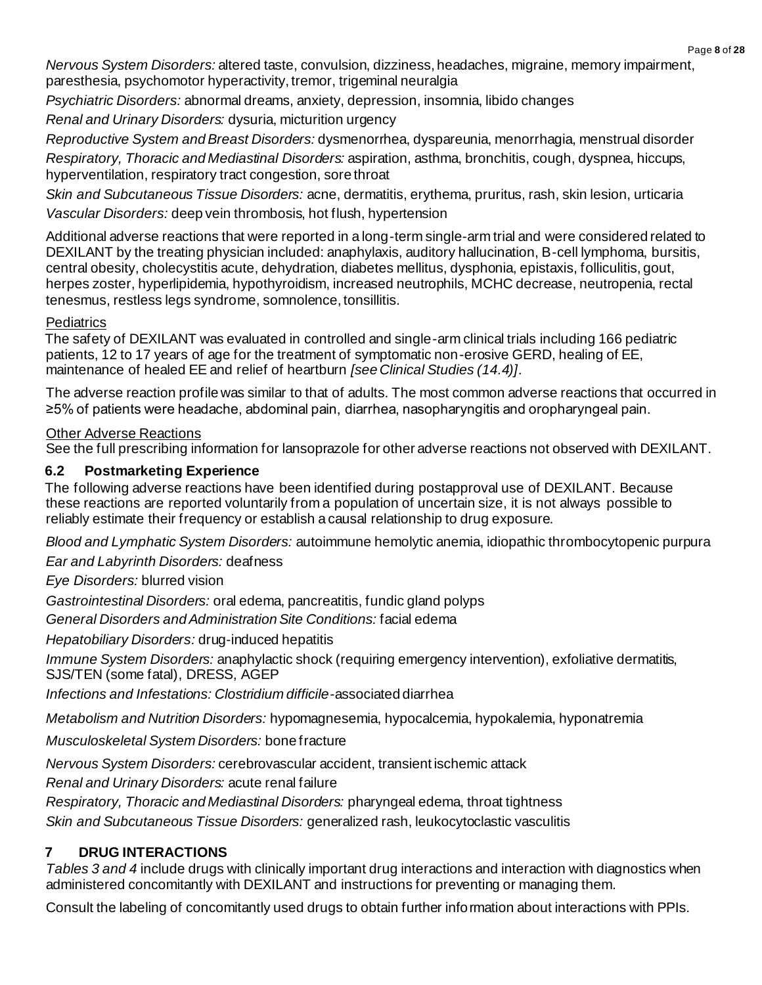*Nervous System Disorders:* altered taste, convulsion, dizziness, headaches, migraine, memory impairment, paresthesia, psychomotor hyperactivity, tremor, trigeminal neuralgia

*Psychiatric Disorders:* abnormal dreams, anxiety, depression, insomnia, libido changes

*Renal and Urinary Disorders:* dysuria, micturition urgency

*Reproductive System and Breast Disorders:* dysmenorrhea, dyspareunia, menorrhagia, menstrual disorder *Respiratory, Thoracic and Mediastinal Disorders:* aspiration, asthma, bronchitis, cough, dyspnea, hiccups, hyperventilation, respiratory tract congestion, sore throat

*Skin and Subcutaneous Tissue Disorders:* acne, dermatitis, erythema, pruritus, rash, skin lesion, urticaria *Vascular Disorders:* deep vein thrombosis, hot flush, hypertension

Additional adverse reactions that were reported in a long-term single-arm trial and were considered related to DEXILANT by the treating physician included: anaphylaxis, auditory hallucination, B-cell lymphoma, bursitis, central obesity, cholecystitis acute, dehydration, diabetes mellitus, dysphonia, epistaxis, folliculitis, gout, herpes zoster, hyperlipidemia, hypothyroidism, increased neutrophils, MCHC decrease, neutropenia, rectal tenesmus, restless legs syndrome, somnolence, tonsillitis.

#### **Pediatrics**

The safety of DEXILANT was evaluated in controlled and single-arm clinical trials including 166 pediatric patients, 12 to 17 years of age for the treatment of symptomatic non-erosive GERD, healing of EE, maintenance of healed EE and relief of heartburn *[see Clinical Studies (14.4)]*.

The adverse reaction profile was similar to that of adults. The most common adverse reactions that occurred in ≥5% of patients were headache, abdominal pain, diarrhea, nasopharyngitis and oropharyngeal pain.

#### Other Adverse Reactions

See the full prescribing information for lansoprazole for other adverse reactions not observed with DEXILANT.

#### **6.2 Postmarketing Experience**

The following adverse reactions have been identified during postapproval use of DEXILANT. Because these reactions are reported voluntarily from a population of uncertain size, it is not always possible to reliably estimate their frequency or establish a causal relationship to drug exposure.

*Blood and Lymphatic System Disorders:* autoimmune hemolytic anemia, idiopathic thrombocytopenic purpura

*Ear and Labyrinth Disorders:* deafness

*Eye Disorders:* blurred vision

*Gastrointestinal Disorders:* oral edema, pancreatitis, fundic gland polyps

*General Disorders and Administration Site Conditions:* facial edema

*Hepatobiliary Disorders:* drug-induced hepatitis

*Immune System Disorders:* anaphylactic shock (requiring emergency intervention), exfoliative dermatitis, SJS/TEN (some fatal), DRESS, AGEP

*Infections and Infestations: Clostridium difficile-*associated diarrhea

*Metabolism and Nutrition Disorders:* hypomagnesemia, hypocalcemia, hypokalemia, hyponatremia

*Musculoskeletal System Disorders:* bone fracture

*Nervous System Disorders:* cerebrovascular accident, transient ischemic attack

*Renal and Urinary Disorders:* acute renal failure

*Respiratory, Thoracic and Mediastinal Disorders:* pharyngeal edema, throat tightness

*Skin and Subcutaneous Tissue Disorders:* generalized rash, leukocytoclastic vasculitis

## **7 DRUG INTERACTIONS**

*Tables 3 and 4* include drugs with clinically important drug interactions and interaction with diagnostics when administered concomitantly with DEXILANT and instructions for preventing or managing them.

Consult the labeling of concomitantly used drugs to obtain further information about interactions with PPIs.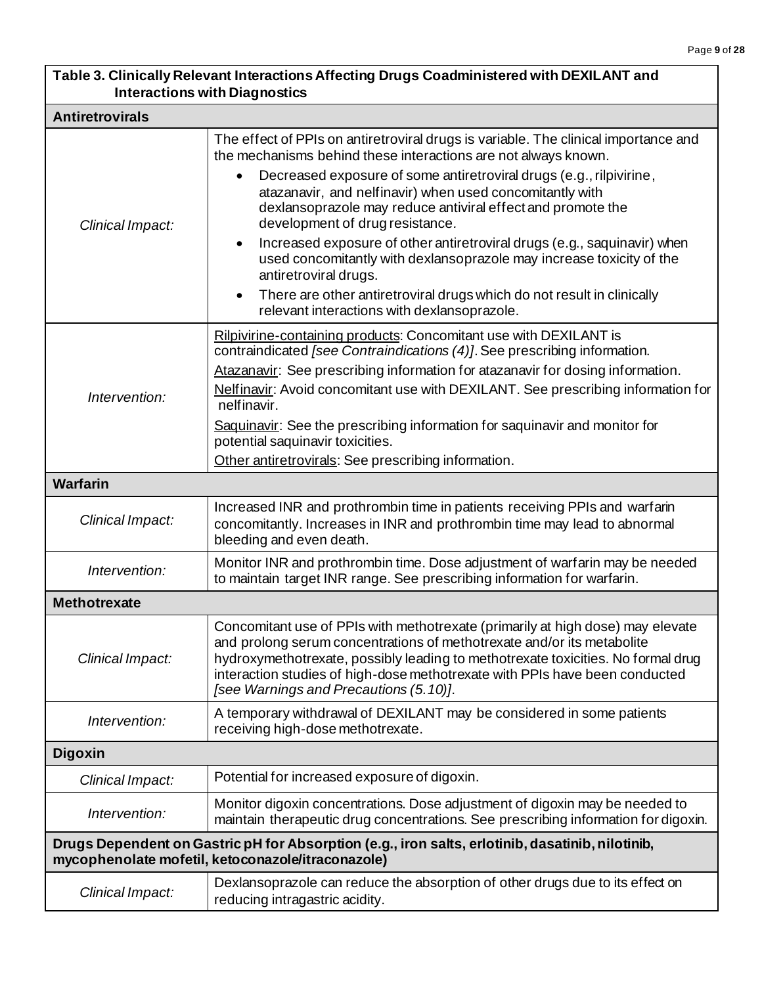| i abie 3. Chritcally Nelevalit mieractions Affecting Drugs Coadministered with DEAILANT and<br><b>Interactions with Diagnostics</b> |                                                                                                                                                                                                                                                                                                                                                                                                                                                                                                                                                                                                                                                                                                                                         |  |  |
|-------------------------------------------------------------------------------------------------------------------------------------|-----------------------------------------------------------------------------------------------------------------------------------------------------------------------------------------------------------------------------------------------------------------------------------------------------------------------------------------------------------------------------------------------------------------------------------------------------------------------------------------------------------------------------------------------------------------------------------------------------------------------------------------------------------------------------------------------------------------------------------------|--|--|
| <b>Antiretrovirals</b>                                                                                                              |                                                                                                                                                                                                                                                                                                                                                                                                                                                                                                                                                                                                                                                                                                                                         |  |  |
| Clinical Impact:                                                                                                                    | The effect of PPIs on antiretroviral drugs is variable. The clinical importance and<br>the mechanisms behind these interactions are not always known.<br>Decreased exposure of some antiretroviral drugs (e.g., rilpivirine,<br>$\bullet$<br>atazanavir, and nelfinavir) when used concomitantly with<br>dexlansoprazole may reduce antiviral effect and promote the<br>development of drug resistance.<br>Increased exposure of other antiretroviral drugs (e.g., saquinavir) when<br>$\bullet$<br>used concomitantly with dexlansoprazole may increase toxicity of the<br>antiretroviral drugs.<br>There are other antiretroviral drugs which do not result in clinically<br>$\bullet$<br>relevant interactions with dexlansoprazole. |  |  |
| Intervention:                                                                                                                       | Rilpivirine-containing products: Concomitant use with DEXILANT is<br>contraindicated [see Contraindications (4)]. See prescribing information.<br>Atazanavir: See prescribing information for atazanavir for dosing information.<br>Nelfinavir: Avoid concomitant use with DEXILANT. See prescribing information for<br>nelfinavir.<br>Saquinavir: See the prescribing information for saquinavir and monitor for<br>potential saquinavir toxicities.<br>Other antiretrovirals: See prescribing information.                                                                                                                                                                                                                            |  |  |
| <b>Warfarin</b>                                                                                                                     |                                                                                                                                                                                                                                                                                                                                                                                                                                                                                                                                                                                                                                                                                                                                         |  |  |
| Clinical Impact:                                                                                                                    | Increased INR and prothrombin time in patients receiving PPIs and warfarin<br>concomitantly. Increases in INR and prothrombin time may lead to abnormal<br>bleeding and even death.                                                                                                                                                                                                                                                                                                                                                                                                                                                                                                                                                     |  |  |
| Intervention:                                                                                                                       | Monitor INR and prothrombin time. Dose adjustment of warfarin may be needed<br>to maintain target INR range. See prescribing information for warfarin.                                                                                                                                                                                                                                                                                                                                                                                                                                                                                                                                                                                  |  |  |
| <b>Methotrexate</b>                                                                                                                 |                                                                                                                                                                                                                                                                                                                                                                                                                                                                                                                                                                                                                                                                                                                                         |  |  |
| Clinical Impact:                                                                                                                    | Concomitant use of PPIs with methotrexate (primarily at high dose) may elevate<br>and prolong serum concentrations of methotrexate and/or its metabolite<br>hydroxymethotrexate, possibly leading to methotrexate toxicities. No formal drug<br>interaction studies of high-dose methotrexate with PPIs have been conducted<br>[see Warnings and Precautions (5.10)].                                                                                                                                                                                                                                                                                                                                                                   |  |  |
| Intervention:                                                                                                                       | A temporary withdrawal of DEXILANT may be considered in some patients<br>receiving high-dose methotrexate.                                                                                                                                                                                                                                                                                                                                                                                                                                                                                                                                                                                                                              |  |  |
| <b>Digoxin</b>                                                                                                                      |                                                                                                                                                                                                                                                                                                                                                                                                                                                                                                                                                                                                                                                                                                                                         |  |  |
| Clinical Impact:                                                                                                                    | Potential for increased exposure of digoxin.                                                                                                                                                                                                                                                                                                                                                                                                                                                                                                                                                                                                                                                                                            |  |  |
| Intervention:                                                                                                                       | Monitor digoxin concentrations. Dose adjustment of digoxin may be needed to<br>maintain therapeutic drug concentrations. See prescribing information for digoxin.                                                                                                                                                                                                                                                                                                                                                                                                                                                                                                                                                                       |  |  |
|                                                                                                                                     | Drugs Dependent on Gastric pH for Absorption (e.g., iron salts, erlotinib, dasatinib, nilotinib,<br>mycophenolate mofetil, ketoconazole/itraconazole)                                                                                                                                                                                                                                                                                                                                                                                                                                                                                                                                                                                   |  |  |
| Clinical Impact:                                                                                                                    | Dexlansoprazole can reduce the absorption of other drugs due to its effect on<br>reducing intragastric acidity.                                                                                                                                                                                                                                                                                                                                                                                                                                                                                                                                                                                                                         |  |  |

# **Table 3. Clinically Relevant Interactions Affecting Drugs Coadministered with DEXILANT and**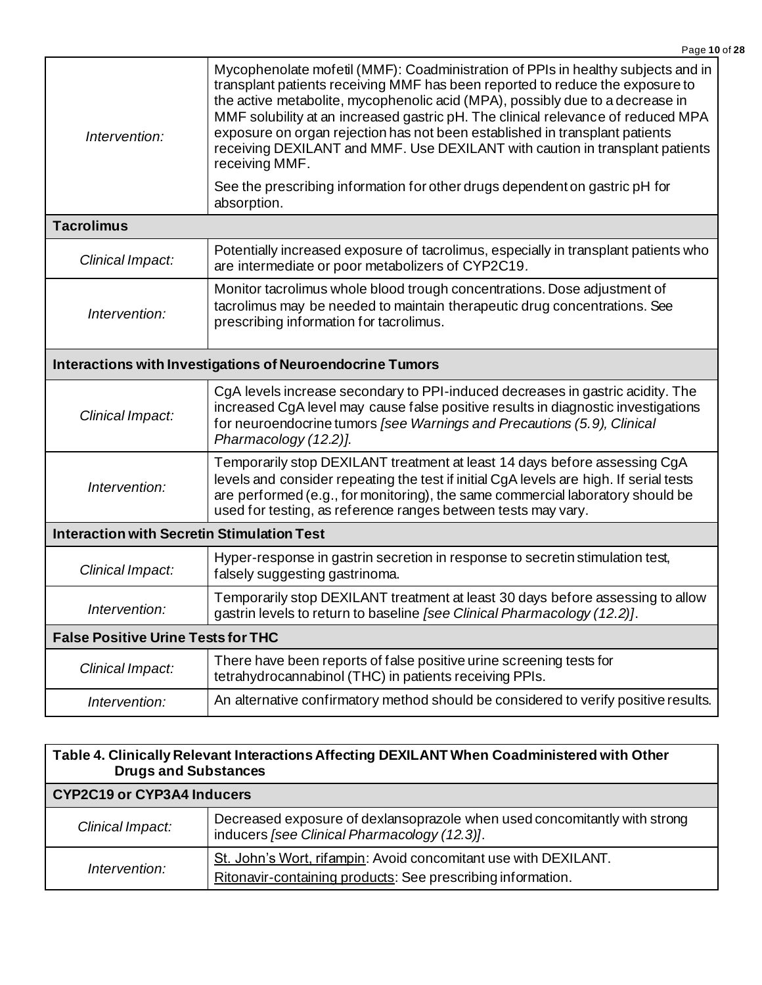|                                                   | Page 10 of 28                                                                                                                                                                                                                                                                                                                                                                                                                                                                                                           |
|---------------------------------------------------|-------------------------------------------------------------------------------------------------------------------------------------------------------------------------------------------------------------------------------------------------------------------------------------------------------------------------------------------------------------------------------------------------------------------------------------------------------------------------------------------------------------------------|
| Intervention:                                     | Mycophenolate mofetil (MMF): Coadministration of PPIs in healthy subjects and in<br>transplant patients receiving MMF has been reported to reduce the exposure to<br>the active metabolite, mycophenolic acid (MPA), possibly due to a decrease in<br>MMF solubility at an increased gastric pH. The clinical relevance of reduced MPA<br>exposure on organ rejection has not been established in transplant patients<br>receiving DEXILANT and MMF. Use DEXILANT with caution in transplant patients<br>receiving MMF. |
|                                                   | See the prescribing information for other drugs dependent on gastric pH for<br>absorption.                                                                                                                                                                                                                                                                                                                                                                                                                              |
| <b>Tacrolimus</b>                                 |                                                                                                                                                                                                                                                                                                                                                                                                                                                                                                                         |
| Clinical Impact:                                  | Potentially increased exposure of tacrolimus, especially in transplant patients who<br>are intermediate or poor metabolizers of CYP2C19.                                                                                                                                                                                                                                                                                                                                                                                |
| Intervention:                                     | Monitor tacrolimus whole blood trough concentrations. Dose adjustment of<br>tacrolimus may be needed to maintain therapeutic drug concentrations. See<br>prescribing information for tacrolimus.                                                                                                                                                                                                                                                                                                                        |
|                                                   | <b>Interactions with Investigations of Neuroendocrine Tumors</b>                                                                                                                                                                                                                                                                                                                                                                                                                                                        |
| Clinical Impact:                                  | CgA levels increase secondary to PPI-induced decreases in gastric acidity. The<br>increased CgA level may cause false positive results in diagnostic investigations<br>for neuroendocrine tumors [see Warnings and Precautions (5.9), Clinical<br>Pharmacology (12.2)].                                                                                                                                                                                                                                                 |
| Intervention:                                     | Temporarily stop DEXILANT treatment at least 14 days before assessing CgA<br>levels and consider repeating the test if initial CgA levels are high. If serial tests<br>are performed (e.g., for monitoring), the same commercial laboratory should be<br>used for testing, as reference ranges between tests may vary.                                                                                                                                                                                                  |
| <b>Interaction with Secretin Stimulation Test</b> |                                                                                                                                                                                                                                                                                                                                                                                                                                                                                                                         |
| Clinical Impact:                                  | Hyper-response in gastrin secretion in response to secretin stimulation test,<br>falsely suggesting gastrinoma.                                                                                                                                                                                                                                                                                                                                                                                                         |
| Intervention:                                     | Temporarily stop DEXILANT treatment at least 30 days before assessing to allow<br>gastrin levels to return to baseline [see Clinical Pharmacology (12.2)].                                                                                                                                                                                                                                                                                                                                                              |
| <b>False Positive Urine Tests for THC</b>         |                                                                                                                                                                                                                                                                                                                                                                                                                                                                                                                         |
| Clinical Impact:                                  | There have been reports of false positive urine screening tests for<br>tetrahydrocannabinol (THC) in patients receiving PPIs.                                                                                                                                                                                                                                                                                                                                                                                           |
| Intervention:                                     | An alternative confirmatory method should be considered to verify positive results.                                                                                                                                                                                                                                                                                                                                                                                                                                     |

| Table 4. Clinically Relevant Interactions Affecting DEXILANT When Coadministered with Other<br><b>Drugs and Substances</b>                      |                                                                                                                           |  |  |
|-------------------------------------------------------------------------------------------------------------------------------------------------|---------------------------------------------------------------------------------------------------------------------------|--|--|
| <b>CYP2C19 or CYP3A4 Inducers</b>                                                                                                               |                                                                                                                           |  |  |
| Clinical Impact:                                                                                                                                | Decreased exposure of dexlansoprazole when used concomitantly with strong<br>inducers [see Clinical Pharmacology (12.3)]. |  |  |
| St. John's Wort, rifampin: Avoid concomitant use with DEXILANT.<br>Intervention:<br>Ritonavir-containing products: See prescribing information. |                                                                                                                           |  |  |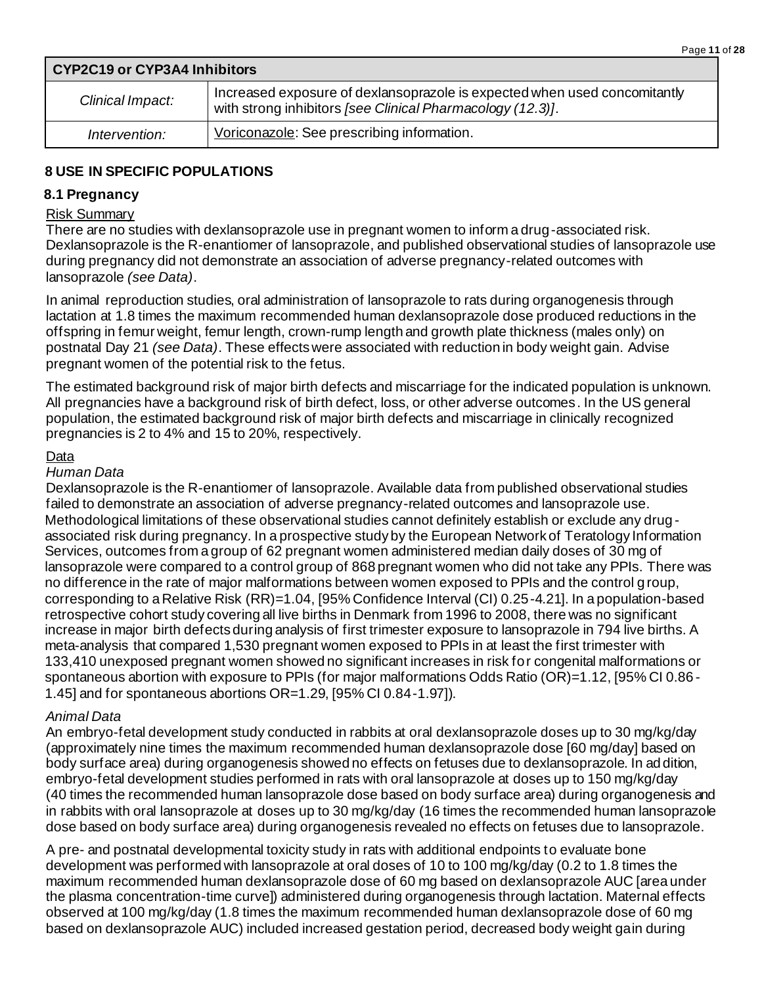| <b>CYP2C19 or CYP3A4 Inhibitors</b> |                                                                                                                                         |  |  |
|-------------------------------------|-----------------------------------------------------------------------------------------------------------------------------------------|--|--|
| Clinical Impact:                    | Increased exposure of dexlansoprazole is expected when used concomitantly<br>with strong inhibitors [see Clinical Pharmacology (12.3)]. |  |  |
| Intervention:                       | Voriconazole: See prescribing information.                                                                                              |  |  |

## **8 USE IN SPECIFIC POPULATIONS**

#### **8.1 Pregnancy**

#### Risk Summary

There are no studies with dexlansoprazole use in pregnant women to inform a drug-associated risk. Dexlansoprazole is the R-enantiomer of lansoprazole, and published observational studies of lansoprazole use during pregnancy did not demonstrate an association of adverse pregnancy-related outcomes with lansoprazole *(see Data)*.

In animal reproduction studies, oral administration of lansoprazole to rats during organogenesis through lactation at 1.8 times the maximum recommended human dexlansoprazole dose produced reductions in the offspring in femur weight, femur length, crown-rump length and growth plate thickness (males only) on postnatal Day 21 *(see Data)*. These effects were associated with reduction in body weight gain. Advise pregnant women of the potential risk to the fetus.

The estimated background risk of major birth defects and miscarriage for the indicated population is unknown. All pregnancies have a background risk of birth defect, loss, or other adverse outcomes. In the US general population, the estimated background risk of major birth defects and miscarriage in clinically recognized pregnancies is 2 to 4% and 15 to 20%, respectively.

#### Data

#### *Human Data*

Dexlansoprazole is the R-enantiomer of lansoprazole. Available data from published observational studies failed to demonstrate an association of adverse pregnancy-related outcomes and lansoprazole use. Methodological limitations of these observational studies cannot definitely establish or exclude any drug associated risk during pregnancy. In a prospective study by the European Network of Teratology Information Services, outcomes from a group of 62 pregnant women administered median daily doses of 30 mg of lansoprazole were compared to a control group of 868 pregnant women who did not take any PPIs. There was no difference in the rate of major malformations between women exposed to PPIs and the control g roup, corresponding to a Relative Risk (RR)=1.04, [95% Confidence Interval (CI) 0.25-4.21]. In a population-based retrospective cohort study covering all live births in Denmark from 1996 to 2008, there was no significant increase in major birth defects during analysis of first trimester exposure to lansoprazole in 794 live births. A meta-analysis that compared 1,530 pregnant women exposed to PPIs in at least the first trimester with 133,410 unexposed pregnant women showed no significant increases in risk for congenital malformations or spontaneous abortion with exposure to PPIs (for major malformations Odds Ratio (OR)=1.12, [95% CI 0.86 - 1.45] and for spontaneous abortions OR=1.29, [95% CI 0.84-1.97]).

#### *Animal Data*

An embryo-fetal development study conducted in rabbits at oral dexlansoprazole doses up to 30 mg/kg/day (approximately nine times the maximum recommended human dexlansoprazole dose [60 mg/day] based on body surface area) during organogenesis showed no effects on fetuses due to dexlansoprazole. In ad dition, embryo-fetal development studies performed in rats with oral lansoprazole at doses up to 150 mg/kg/day (40 times the recommended human lansoprazole dose based on body surface area) during organogenesis and in rabbits with oral lansoprazole at doses up to 30 mg/kg/day (16 times the recommended human lansoprazole dose based on body surface area) during organogenesis revealed no effects on fetuses due to lansoprazole.

A pre- and postnatal developmental toxicity study in rats with additional endpoints to evaluate bone development was performed with lansoprazole at oral doses of 10 to 100 mg/kg/day (0.2 to 1.8 times the maximum recommended human dexlansoprazole dose of 60 mg based on dexlansoprazole AUC [area under the plasma concentration-time curve]) administered during organogenesis through lactation. Maternal effects observed at 100 mg/kg/day (1.8 times the maximum recommended human dexlansoprazole dose of 60 mg based on dexlansoprazole AUC) included increased gestation period, decreased body weight gain during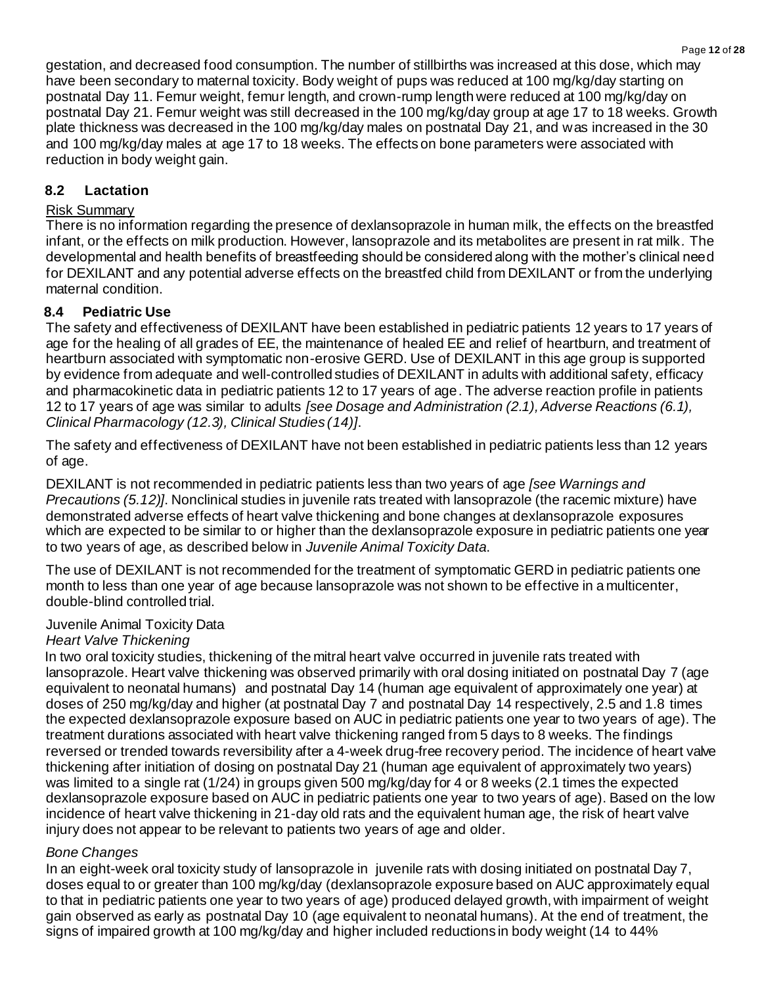gestation, and decreased food consumption. The number of stillbirths was increased at this dose, which may have been secondary to maternal toxicity. Body weight of pups was reduced at 100 mg/kg/day starting on postnatal Day 11. Femur weight, femur length, and crown-rump length were reduced at 100 mg/kg/day on postnatal Day 21. Femur weight was still decreased in the 100 mg/kg/day group at age 17 to 18 weeks. Growth plate thickness was decreased in the 100 mg/kg/day males on postnatal Day 21, and was increased in the 30 and 100 mg/kg/day males at age 17 to 18 weeks. The effects on bone parameters were associated with reduction in body weight gain.

#### **8.2 Lactation**

#### Risk Summary

There is no information regarding the presence of dexlansoprazole in human milk, the effects on the breastfed infant, or the effects on milk production. However, lansoprazole and its metabolites are present in rat milk *.* The developmental and health benefits of breastfeeding should be considered along with the mother's clinical need for DEXILANT and any potential adverse effects on the breastfed child from DEXILANT or from the underlying maternal condition.

#### **8.4 Pediatric Use**

The safety and effectiveness of DEXILANT have been established in pediatric patients 12 years to 17 years of age for the healing of all grades of EE, the maintenance of healed EE and relief of heartburn, and treatment of heartburn associated with symptomatic non-erosive GERD. Use of DEXILANT in this age group is supported by evidence from adequate and well-controlled studies of DEXILANT in adults with additional safety, efficacy and pharmacokinetic data in pediatric patients 12 to 17 years of age. The adverse reaction profile in patients 12 to 17 years of age was similar to adults *[see Dosage and Administration (2.1), Adverse Reactions (6.1), Clinical Pharmacology (12.3), Clinical Studies (14)]*.

The safety and effectiveness of DEXILANT have not been established in pediatric patients less than 12 years of age.

DEXILANT is not recommended in pediatric patients less than two years of age *[see Warnings and Precautions (5.12)]*. Nonclinical studies in juvenile rats treated with lansoprazole (the racemic mixture) have demonstrated adverse effects of heart valve thickening and bone changes at dexlansoprazole exposures which are expected to be similar to or higher than the dexlansoprazole exposure in pediatric patients one year to two years of age, as described below in *Juvenile Animal Toxicity Data*.

The use of DEXILANT is not recommended for the treatment of symptomatic GERD in pediatric patients one month to less than one year of age because lansoprazole was not shown to be effective in a multicenter, double-blind controlled trial.

#### Juvenile Animal Toxicity Data

#### *Heart Valve Thickening*

In two oral toxicity studies, thickening of the mitral heart valve occurred in juvenile rats treated with lansoprazole. Heart valve thickening was observed primarily with oral dosing initiated on postnatal Day 7 (age equivalent to neonatal humans) and postnatal Day 14 (human age equivalent of approximately one year) at doses of 250 mg/kg/day and higher (at postnatal Day 7 and postnatal Day 14 respectively, 2.5 and 1.8 times the expected dexlansoprazole exposure based on AUC in pediatric patients one year to two years of age). The treatment durations associated with heart valve thickening ranged from 5 days to 8 weeks. The findings reversed or trended towards reversibility after a 4-week drug-free recovery period. The incidence of heart valve thickening after initiation of dosing on postnatal Day 21 (human age equivalent of approximately two years) was limited to a single rat (1/24) in groups given 500 mg/kg/day for 4 or 8 weeks (2.1 times the expected dexlansoprazole exposure based on AUC in pediatric patients one year to two years of age). Based on the low incidence of heart valve thickening in 21-day old rats and the equivalent human age, the risk of heart valve injury does not appear to be relevant to patients two years of age and older.

#### *Bone Changes*

In an eight-week oral toxicity study of lansoprazole in juvenile rats with dosing initiated on postnatal Day 7, doses equal to or greater than 100 mg/kg/day (dexlansoprazole exposure based on AUC approximately equal to that in pediatric patients one year to two years of age) produced delayed growth, with impairment of weight gain observed as early as postnatal Day 10 (age equivalent to neonatal humans). At the end of treatment, the signs of impaired growth at 100 mg/kg/day and higher included reductions in body weight (14 to 44%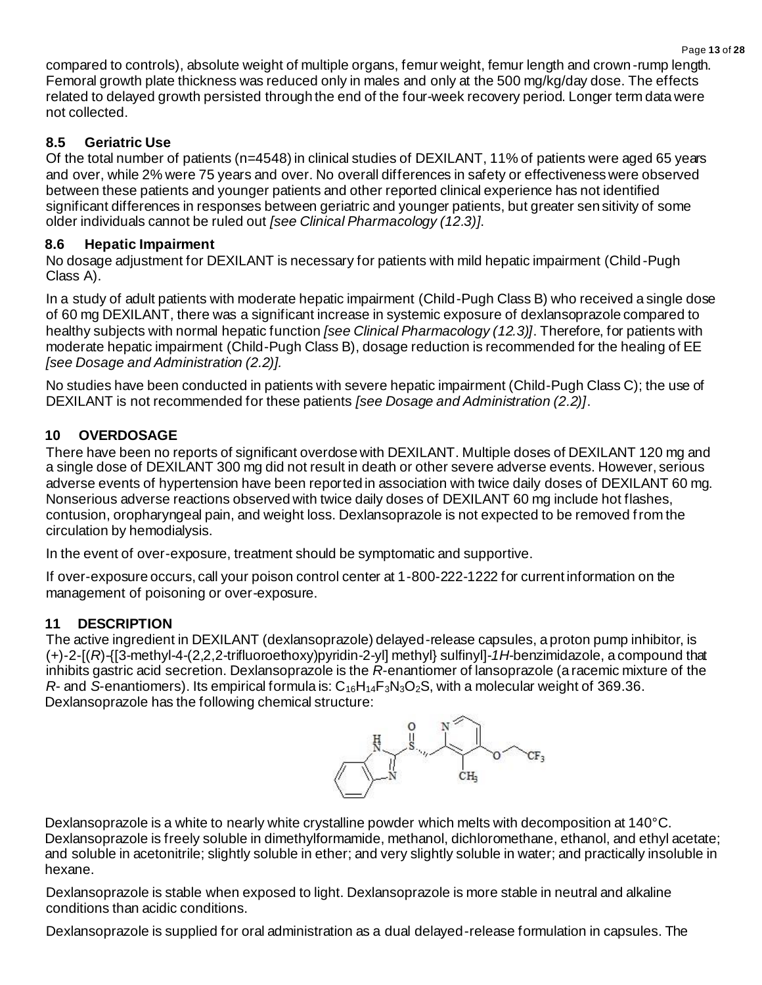compared to controls), absolute weight of multiple organs, femur weight, femur length and crown -rump length. Femoral growth plate thickness was reduced only in males and only at the 500 mg/kg/day dose. The effects related to delayed growth persisted through the end of the four-week recovery period. Longer term data were not collected.

# **8.5 Geriatric Use**

Of the total number of patients (n=4548) in clinical studies of DEXILANT, 11% of patients were aged 65 years and over, while 2% were 75 years and over. No overall differences in safety or effectiveness were observed between these patients and younger patients and other reported clinical experience has not identified significant differences in responses between geriatric and younger patients, but greater sensitivity of some older individuals cannot be ruled out *[see Clinical Pharmacology (12.3)]*.

# **8.6 Hepatic Impairment**

No dosage adjustment for DEXILANT is necessary for patients with mild hepatic impairment (Child-Pugh Class A).

In a study of adult patients with moderate hepatic impairment (Child-Pugh Class B) who received a single dose of 60 mg DEXILANT, there was a significant increase in systemic exposure of dexlansoprazole compared to healthy subjects with normal hepatic function *[see Clinical Pharmacology (12.3)]*. Therefore, for patients with moderate hepatic impairment (Child-Pugh Class B), dosage reduction is recommended for the healing of EE *[see Dosage and Administration (2.2)].*

No studies have been conducted in patients with severe hepatic impairment (Child-Pugh Class C); the use of DEXILANT is not recommended for these patients *[see Dosage and Administration (2.2)]*.

# **10 OVERDOSAGE**

There have been no reports of significant overdose with DEXILANT. Multiple doses of DEXILANT 120 mg and a single dose of DEXILANT 300 mg did not result in death or other severe adverse events. However, serious adverse events of hypertension have been reported in association with twice daily doses of DEXILANT 60 mg. Nonserious adverse reactions observed with twice daily doses of DEXILANT 60 mg include hot flashes, contusion, oropharyngeal pain, and weight loss. Dexlansoprazole is not expected to be removed from the circulation by hemodialysis.

In the event of over-exposure, treatment should be symptomatic and supportive.

If over-exposure occurs, call your poison control center at 1-800-222-1222 for current information on the management of poisoning or over-exposure.

# **11 DESCRIPTION**

The active ingredient in DEXILANT (dexlansoprazole) delayed-release capsules, a proton pump inhibitor, is (+)-2-[(*R*)-{[3-methyl-4-(2,2,2-trifluoroethoxy)pyridin-2-yl] methyl} sulfinyl]-*1H*-benzimidazole, a compound that inhibits gastric acid secretion. Dexlansoprazole is the *R*-enantiomer of lansoprazole (a racemic mixture of the *R*- and *S*-enantiomers). Its empirical formula is: C<sub>16</sub>H<sub>14</sub>F<sub>3</sub>N<sub>3</sub>O<sub>2</sub>S, with a molecular weight of 369.36. Dexlansoprazole has the following chemical structure:



Dexlansoprazole is a white to nearly white crystalline powder which melts with decomposition at 140°C. Dexlansoprazole is freely soluble in dimethylformamide, methanol, dichloromethane, ethanol, and ethyl acetate; and soluble in acetonitrile; slightly soluble in ether; and very slightly soluble in water; and practically insoluble in hexane.

Dexlansoprazole is stable when exposed to light. Dexlansoprazole is more stable in neutral and alkaline conditions than acidic conditions.

Dexlansoprazole is supplied for oral administration as a dual delayed-release formulation in capsules. The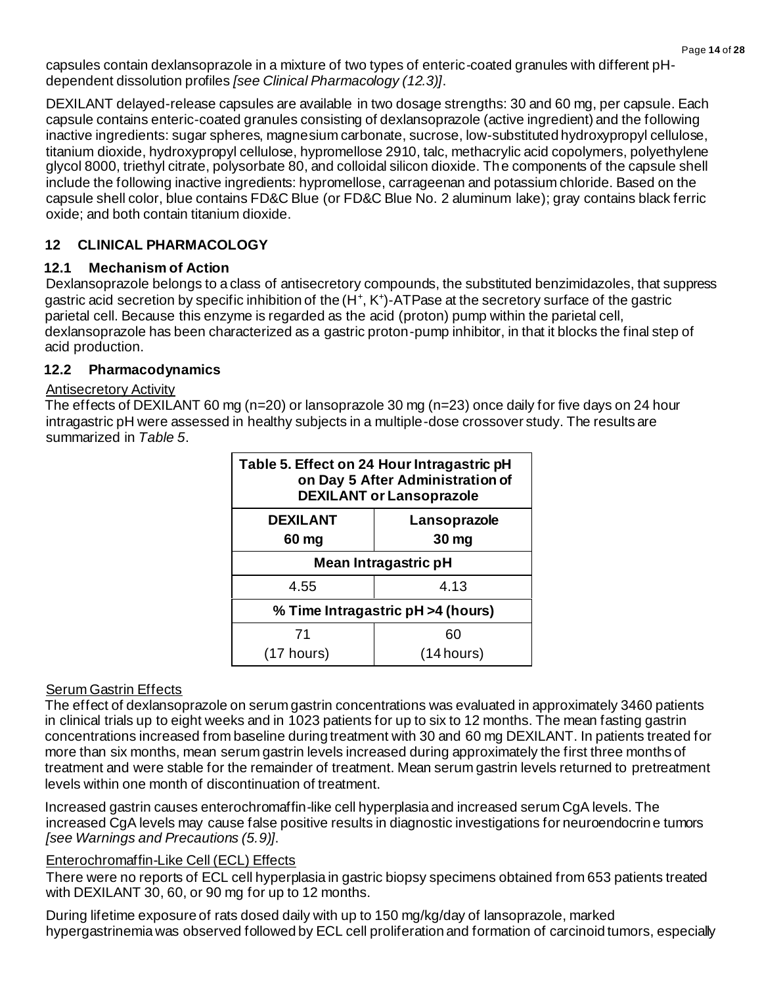capsules contain dexlansoprazole in a mixture of two types of enteric-coated granules with different pHdependent dissolution profiles *[see Clinical Pharmacology (12.3)]*.

DEXILANT delayed-release capsules are available in two dosage strengths: 30 and 60 mg, per capsule. Each capsule contains enteric-coated granules consisting of dexlansoprazole (active ingredient) and the following inactive ingredients: sugar spheres, magnesium carbonate, sucrose, low-substituted hydroxypropyl cellulose, titanium dioxide, hydroxypropyl cellulose, hypromellose 2910, talc, methacrylic acid copolymers, polyethylene glycol 8000, triethyl citrate, polysorbate 80, and colloidal silicon dioxide. The components of the capsule shell include the following inactive ingredients: hypromellose, carrageenan and potassium chloride. Based on the capsule shell color, blue contains FD&C Blue (or FD&C Blue No. 2 aluminum lake); gray contains black ferric oxide; and both contain titanium dioxide.

# **12 CLINICAL PHARMACOLOGY**

#### **12.1 Mechanism of Action**

Dexlansoprazole belongs to a class of antisecretory compounds, the substituted benzimidazoles, that suppress gastric acid secretion by specific inhibition of the (H<sup>+</sup>, K<sup>+</sup>)-ATPase at the secretory surface of the gastric parietal cell. Because this enzyme is regarded as the acid (proton) pump within the parietal cell, dexlansoprazole has been characterized as a gastric proton-pump inhibitor, in that it blocks the final step of acid production.

#### **12.2 Pharmacodynamics**

#### Antisecretory Activity

The effects of DEXILANT 60 mg (n=20) or lansoprazole 30 mg (n=23) once daily for five days on 24 hour intragastric pH were assessed in healthy subjects in a multiple-dose crossover study. The results are summarized in *Table 5*.

| Table 5. Effect on 24 Hour Intragastric pH<br>on Day 5 After Administration of<br><b>DEXILANT or Lansoprazole</b> |              |  |  |
|-------------------------------------------------------------------------------------------------------------------|--------------|--|--|
| <b>DEXILANT</b>                                                                                                   | Lansoprazole |  |  |
| 30 mg<br>60 mg                                                                                                    |              |  |  |
| <b>Mean Intragastric pH</b>                                                                                       |              |  |  |
| 4.13<br>4.55                                                                                                      |              |  |  |
| % Time Intragastric pH >4 (hours)                                                                                 |              |  |  |
| 71<br>60                                                                                                          |              |  |  |
| $(17$ hours)                                                                                                      | (14 hours)   |  |  |

## **Serum Gastrin Effects**

The effect of dexlansoprazole on serum gastrin concentrations was evaluated in approximately 3460 patients in clinical trials up to eight weeks and in 1023 patients for up to six to 12 months. The mean fasting gastrin concentrations increased from baseline during treatment with 30 and 60 mg DEXILANT. In patients treated for more than six months, mean serum gastrin levels increased during approximately the first three months of treatment and were stable for the remainder of treatment. Mean serum gastrin levels returned to pretreatment levels within one month of discontinuation of treatment.

Increased gastrin causes enterochromaffin-like cell hyperplasia and increased serum CgA levels. The increased CgA levels may cause false positive results in diagnostic investigations for neuroendocrine tumors *[see Warnings and Precautions (5.9)]*.

#### Enterochromaffin-Like Cell (ECL) Effects

There were no reports of ECL cell hyperplasia in gastric biopsy specimens obtained from 653 patients treated with DEXILANT 30, 60, or 90 mg for up to 12 months.

During lifetime exposure of rats dosed daily with up to 150 mg/kg/day of lansoprazole, marked hypergastrinemia was observed followed by ECL cell proliferation and formation of carcinoid tumors, especially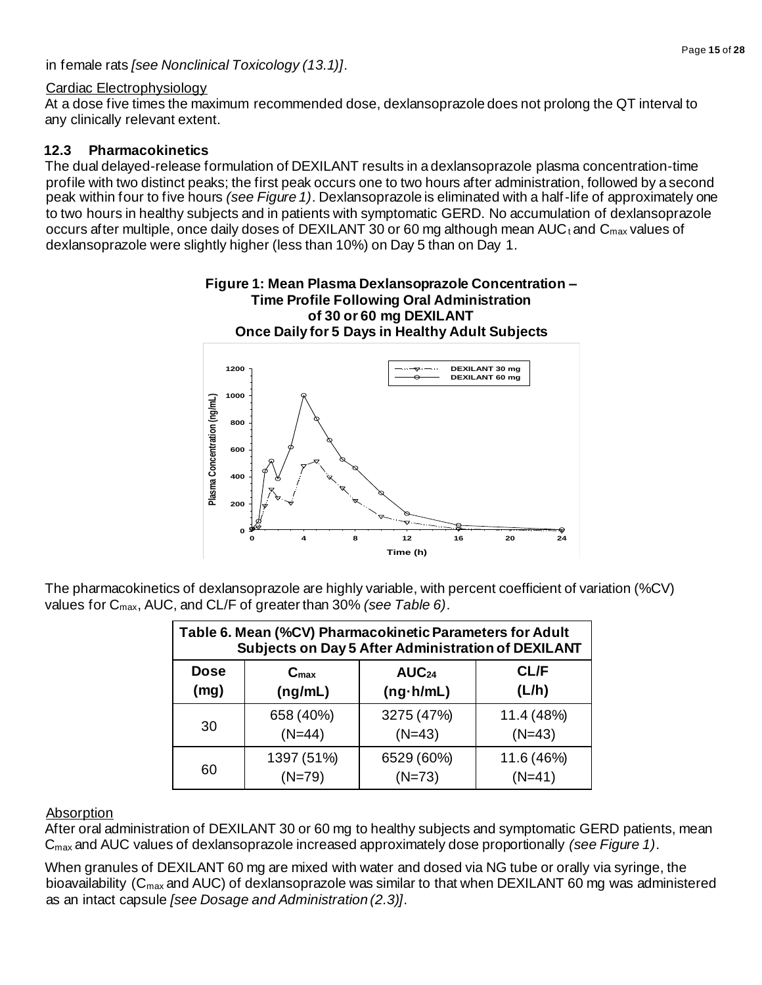in female rats *[see Nonclinical Toxicology (13.1)]*.

#### Cardiac Electrophysiology

At a dose five times the maximum recommended dose, dexlansoprazole does not prolong the QT interval to any clinically relevant extent.

#### **12.3 Pharmacokinetics**

The dual delayed-release formulation of DEXILANT results in a dexlansoprazole plasma concentration-time profile with two distinct peaks; the first peak occurs one to two hours after administration, followed by a second peak within four to five hours *(see Figure 1)*. Dexlansoprazole is eliminated with a half-life of approximately one to two hours in healthy subjects and in patients with symptomatic GERD. No accumulation of dexlansoprazole occurs after multiple, once daily doses of DEXILANT 30 or 60 mg although mean AUC<sub>t</sub> and C<sub>max</sub> values of dexlansoprazole were slightly higher (less than 10%) on Day 5 than on Day 1.



The pharmacokinetics of dexlansoprazole are highly variable, with percent coefficient of variation (%CV) values for Cmax, AUC, and CL/F of greater than 30% *(see Table 6)*.

| Table 6. Mean (%CV) Pharmacokinetic Parameters for Adult<br><b>Subjects on Day 5 After Administration of DEXILANT</b> |            |            |            |  |
|-----------------------------------------------------------------------------------------------------------------------|------------|------------|------------|--|
| <b>CL/F</b><br><b>Dose</b><br>AUC <sub>24</sub><br>$C_{\text{max}}$<br>(L/h)<br>(mg)<br>$(ng \cdot h/mL)$<br>(ng/mL)  |            |            |            |  |
| 30                                                                                                                    | 658 (40%)  | 3275 (47%) | 11.4 (48%) |  |
|                                                                                                                       | $(N=44)$   | $(N=43)$   | $(N=43)$   |  |
| 60                                                                                                                    | 1397 (51%) | 6529 (60%) | 11.6 (46%) |  |
|                                                                                                                       | $(N=79)$   | $(N=73)$   | $(N=41)$   |  |

#### Absorption

After oral administration of DEXILANT 30 or 60 mg to healthy subjects and symptomatic GERD patients, mean Cmax and AUC values of dexlansoprazole increased approximately dose proportionally *(see Figure 1)*.

When granules of DEXILANT 60 mg are mixed with water and dosed via NG tube or orally via syringe, the bioavailability (C<sub>max</sub> and AUC) of dexlansoprazole was similar to that when DEXILANT 60 mg was administered as an intact capsule *[see Dosage and Administration (2.3)]*.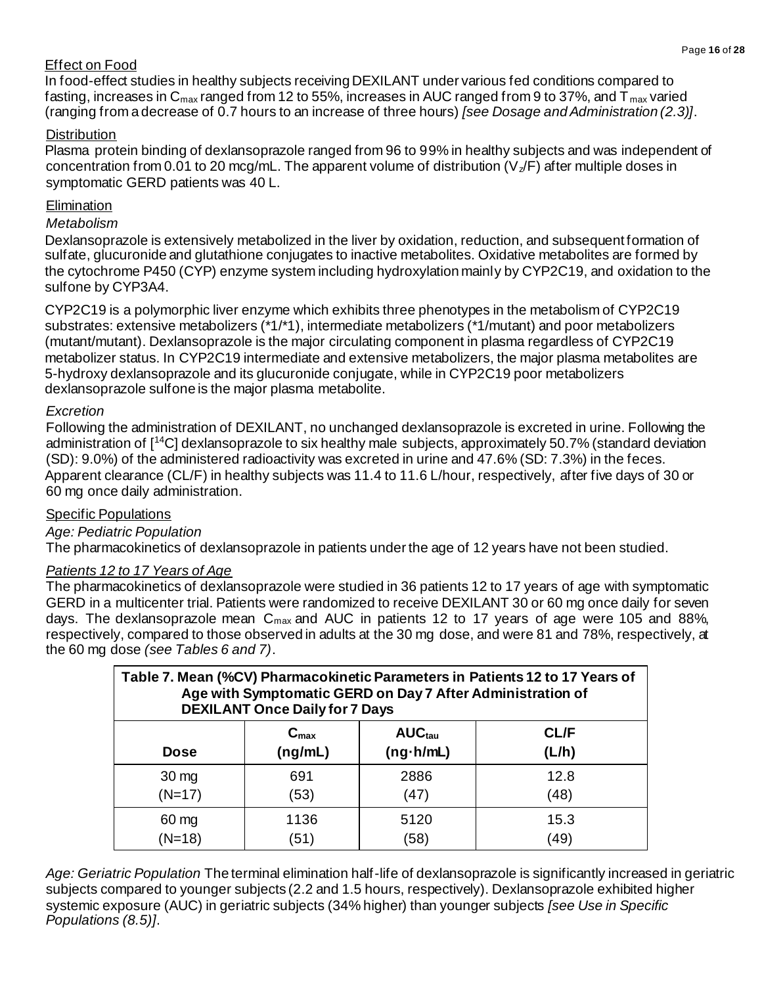# Effect on Food

In food-effect studies in healthy subjects receiving DEXILANT under various fed conditions compared to fasting, increases in  $C_{\text{max}}$  ranged from 12 to 55%, increases in AUC ranged from 9 to 37%, and  $\overline{T}_{\text{max}}$  varied (ranging from a decrease of 0.7 hours to an increase of three hours) *[see Dosage and Administration (2.3)]*.

## **Distribution**

Plasma protein binding of dexlansoprazole ranged from 96 to 99% in healthy subjects and was independent of concentration from 0.01 to 20 mcg/mL. The apparent volume of distribution  $(V_z/F)$  after multiple doses in symptomatic GERD patients was 40 L.

# **Elimination**

#### *Metabolism*

Dexlansoprazole is extensively metabolized in the liver by oxidation, reduction, and subsequent formation of sulfate, glucuronide and glutathione conjugates to inactive metabolites. Oxidative metabolites are formed by the cytochrome P450 (CYP) enzyme system including hydroxylation mainly by CYP2C19, and oxidation to the sulfone by CYP3A4.

CYP2C19 is a polymorphic liver enzyme which exhibits three phenotypes in the metabolism of CYP2C19 substrates: extensive metabolizers (\*1/\*1), intermediate metabolizers (\*1/mutant) and poor metabolizers (mutant/mutant). Dexlansoprazole is the major circulating component in plasma regardless of CYP2C19 metabolizer status. In CYP2C19 intermediate and extensive metabolizers, the major plasma metabolites are 5-hydroxy dexlansoprazole and its glucuronide conjugate, while in CYP2C19 poor metabolizers dexlansoprazole sulfone is the major plasma metabolite.

#### *Excretion*

Following the administration of DEXILANT, no unchanged dexlansoprazole is excreted in urine. Following the administration of [<sup>14</sup>C] dexlansoprazole to six healthy male subjects, approximately 50.7% (standard deviation (SD): 9.0%) of the administered radioactivity was excreted in urine and 47.6% (SD: 7.3%) in the feces. Apparent clearance (CL/F) in healthy subjects was 11.4 to 11.6 L/hour, respectively, after five days of 30 or 60 mg once daily administration.

#### Specific Populations

#### *Age: Pediatric Population*

The pharmacokinetics of dexlansoprazole in patients under the age of 12 years have not been studied.

# *Patients 12 to 17 Years of Age*

The pharmacokinetics of dexlansoprazole were studied in 36 patients 12 to 17 years of age with symptomatic GERD in a multicenter trial. Patients were randomized to receive DEXILANT 30 or 60 mg once daily for seven days. The dexlansoprazole mean  $C_{\text{max}}$  and AUC in patients 12 to 17 years of age were 105 and 88%, respectively, compared to those observed in adults at the 30 mg dose, and were 81 and 78%, respectively, at the 60 mg dose *(see Tables 6 and 7)*.

| Table 7. Mean (%CV) Pharmacokinetic Parameters in Patients 12 to 17 Years of<br>Age with Symptomatic GERD on Day 7 After Administration of<br><b>DEXILANT Once Daily for 7 Days</b> |      |      |      |  |
|-------------------------------------------------------------------------------------------------------------------------------------------------------------------------------------|------|------|------|--|
| AUC <sub>tau</sub><br><b>CL/F</b><br>$C_{\text{max}}$<br>$(ng \cdot h/mL)$<br>(ng/mL)<br>(L/h)<br><b>Dose</b>                                                                       |      |      |      |  |
| $30 \, \text{mg}$                                                                                                                                                                   | 691  | 2886 | 12.8 |  |
| $(N=17)$                                                                                                                                                                            | (53) | (47) | (48) |  |
| $60 \text{ mg}$                                                                                                                                                                     | 1136 | 5120 | 15.3 |  |
| $(N=18)$                                                                                                                                                                            | (51) | (58) | (49) |  |

*Age: Geriatric Population* The terminal elimination half-life of dexlansoprazole is significantly increased in geriatric subjects compared to younger subjects (2.2 and 1.5 hours, respectively). Dexlansoprazole exhibited higher systemic exposure (AUC) in geriatric subjects (34% higher) than younger subjects *[see Use in Specific Populations (8.5)]*.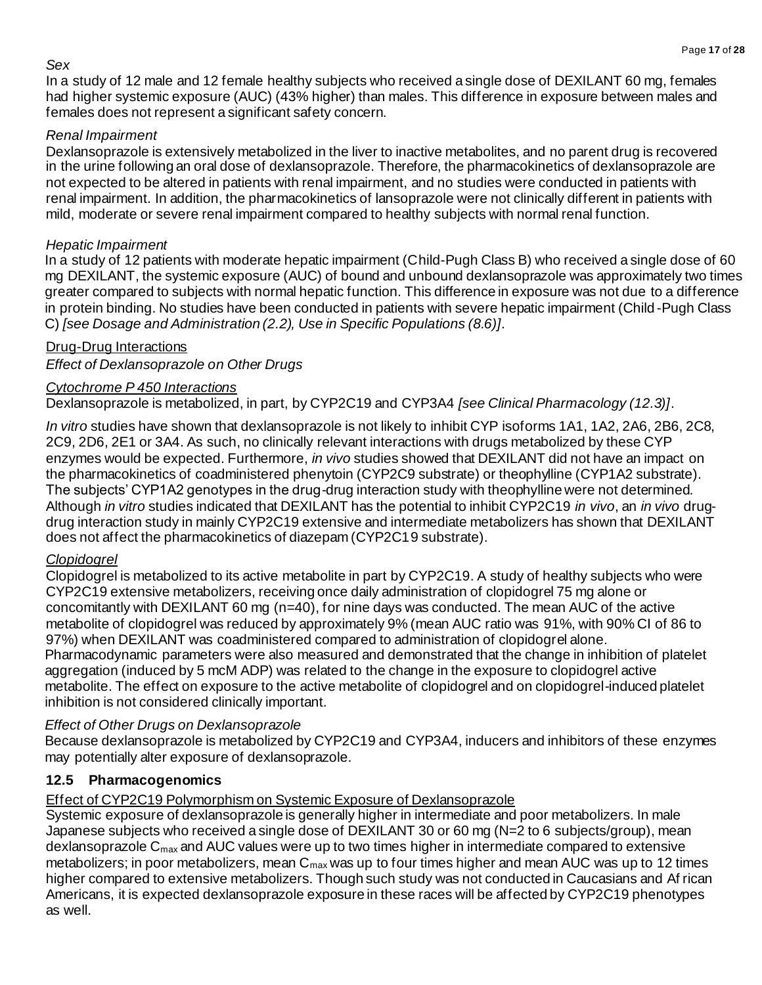#### *Sex*

In a study of 12 male and 12 female healthy subjects who received a single dose of DEXILANT 60 mg, females had higher systemic exposure (AUC) (43% higher) than males. This difference in exposure between males and females does not represent a significant safety concern.

## *Renal Impairment*

Dexlansoprazole is extensively metabolized in the liver to inactive metabolites, and no parent drug is recovered in the urine following an oral dose of dexlansoprazole. Therefore, the pharmacokinetics of dexlansoprazole are not expected to be altered in patients with renal impairment, and no studies were conducted in patients with renal impairment. In addition, the pharmacokinetics of lansoprazole were not clinically different in patients with mild, moderate or severe renal impairment compared to healthy subjects with normal renal function.

# *Hepatic Impairment*

In a study of 12 patients with moderate hepatic impairment (Child-Pugh Class B) who received a single dose of 60 mg DEXILANT, the systemic exposure (AUC) of bound and unbound dexlansoprazole was approximately two times greater compared to subjects with normal hepatic function. This difference in exposure was not due to a difference in protein binding. No studies have been conducted in patients with severe hepatic impairment (Child -Pugh Class C) *[see Dosage and Administration (2.2), Use in Specific Populations (8.6)]*.

# Drug-Drug Interactions

*Effect of Dexlansoprazole on Other Drugs*

# *Cytochrome P 450 Interactions*

Dexlansoprazole is metabolized, in part, by CYP2C19 and CYP3A4 *[see Clinical Pharmacology (12.3)]*.

*In vitro* studies have shown that dexlansoprazole is not likely to inhibit CYP isoforms 1A1, 1A2, 2A6, 2B6, 2C8, 2C9, 2D6, 2E1 or 3A4. As such, no clinically relevant interactions with drugs metabolized by these CYP enzymes would be expected. Furthermore, *in vivo* studies showed that DEXILANT did not have an impact on the pharmacokinetics of coadministered phenytoin (CYP2C9 substrate) or theophylline (CYP1A2 substrate). The subjects' CYP1A2 genotypes in the drug-drug interaction study with theophylline were not determined. Although *in vitro* studies indicated that DEXILANT has the potential to inhibit CYP2C19 *in vivo*, an *in vivo* drugdrug interaction study in mainly CYP2C19 extensive and intermediate metabolizers has shown that DEXILANT does not affect the pharmacokinetics of diazepam (CYP2C19 substrate).

## *Clopidogrel*

Clopidogrel is metabolized to its active metabolite in part by CYP2C19. A study of healthy subjects who were CYP2C19 extensive metabolizers, receiving once daily administration of clopidogrel 75 mg alone or concomitantly with DEXILANT 60 mg (n=40), for nine days was conducted. The mean AUC of the active metabolite of clopidogrel was reduced by approximately 9% (mean AUC ratio was 91%, with 90% CI of 86 to 97%) when DEXILANT was coadministered compared to administration of clopidogrel alone. Pharmacodynamic parameters were also measured and demonstrated that the change in inhibition of platelet aggregation (induced by 5 mcM ADP) was related to the change in the exposure to clopidogrel active metabolite. The effect on exposure to the active metabolite of clopidogrel and on clopidogrel-induced platelet inhibition is not considered clinically important.

# *Effect of Other Drugs on Dexlansoprazole*

Because dexlansoprazole is metabolized by CYP2C19 and CYP3A4, inducers and inhibitors of these enzymes may potentially alter exposure of dexlansoprazole.

# **12.5 Pharmacogenomics**

# Effect of CYP2C19 Polymorphism on Systemic Exposure of Dexlansoprazole

Systemic exposure of dexlansoprazole is generally higher in intermediate and poor metabolizers. In male Japanese subjects who received a single dose of DEXILANT 30 or 60 mg (N=2 to 6 subjects/group), mean dexlansoprazole  $C_{\text{max}}$  and AUC values were up to two times higher in intermediate compared to extensive metabolizers; in poor metabolizers, mean  $C_{\text{max}}$  was up to four times higher and mean AUC was up to 12 times higher compared to extensive metabolizers. Though such study was not conducted in Caucasians and Af rican Americans, it is expected dexlansoprazole exposure in these races will be affected by CYP2C19 phenotypes as well.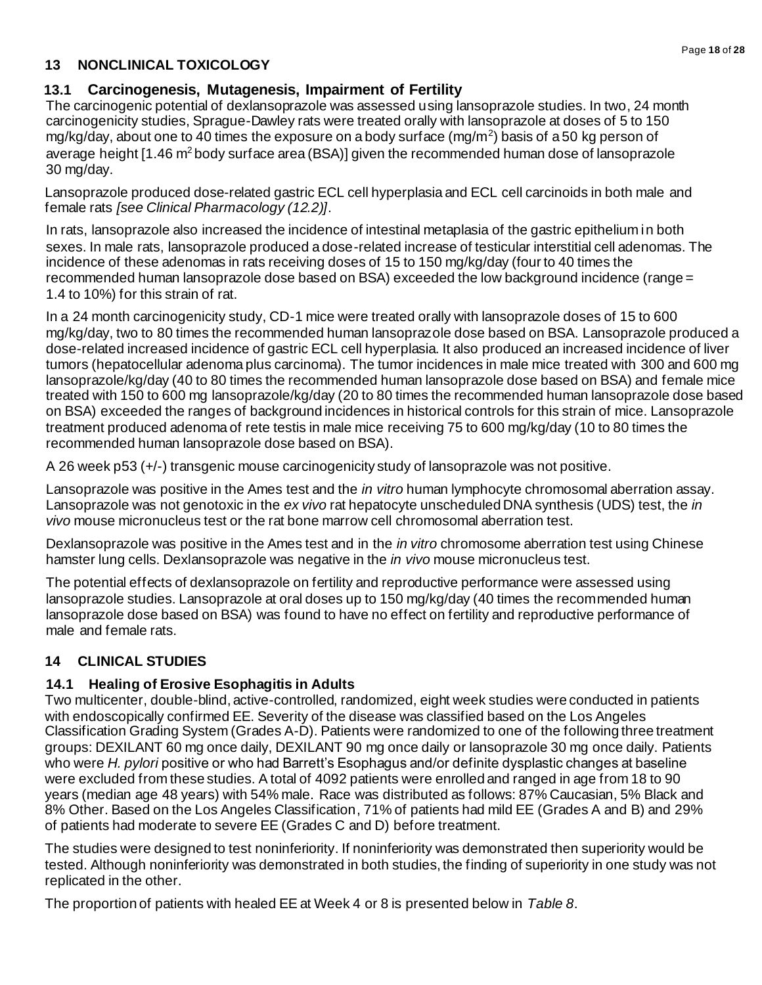#### **13 NONCLINICAL TOXICOLOGY**

# **13.1 Carcinogenesis, Mutagenesis, Impairment of Fertility**

The carcinogenic potential of dexlansoprazole was assessed using lansoprazole studies. In two, 24 month carcinogenicity studies, Sprague-Dawley rats were treated orally with lansoprazole at doses of 5 to 150 mg/kg/day, about one to 40 times the exposure on a body surface (mg/m<sup>2</sup>) basis of a 50 kg person of average height [1.46 m<sup>2</sup> body surface area (BSA)] given the recommended human dose of lansoprazole 30 mg/day.

Lansoprazole produced dose-related gastric ECL cell hyperplasia and ECL cell carcinoids in both male and female rats *[see Clinical Pharmacology (12.2)]*.

In rats, lansoprazole also increased the incidence of intestinal metaplasia of the gastric epithelium in both sexes. In male rats, lansoprazole produced a dose-related increase of testicular interstitial cell adenomas. The incidence of these adenomas in rats receiving doses of 15 to 150 mg/kg/day (four to 40 times the recommended human lansoprazole dose based on BSA) exceeded the low background incidence (range = 1.4 to 10%) for this strain of rat.

In a 24 month carcinogenicity study, CD-1 mice were treated orally with lansoprazole doses of 15 to 600 mg/kg/day, two to 80 times the recommended human lansoprazole dose based on BSA. Lansoprazole produced a dose-related increased incidence of gastric ECL cell hyperplasia. It also produced an increased incidence of liver tumors (hepatocellular adenoma plus carcinoma). The tumor incidences in male mice treated with 300 and 600 mg lansoprazole/kg/day (40 to 80 times the recommended human lansoprazole dose based on BSA) and female mice treated with 150 to 600 mg lansoprazole/kg/day (20 to 80 times the recommended human lansoprazole dose based on BSA) exceeded the ranges of background incidences in historical controls for this strain of mice. Lansoprazole treatment produced adenoma of rete testis in male mice receiving 75 to 600 mg/kg/day (10 to 80 times the recommended human lansoprazole dose based on BSA).

A 26 week p53 (+/-) transgenic mouse carcinogenicity study of lansoprazole was not positive.

Lansoprazole was positive in the Ames test and the *in vitro* human lymphocyte chromosomal aberration assay. Lansoprazole was not genotoxic in the *ex vivo* rat hepatocyte unscheduled DNA synthesis (UDS) test, the *in vivo* mouse micronucleus test or the rat bone marrow cell chromosomal aberration test.

Dexlansoprazole was positive in the Ames test and in the *in vitro* chromosome aberration test using Chinese hamster lung cells. Dexlansoprazole was negative in the *in vivo* mouse micronucleus test.

The potential effects of dexlansoprazole on fertility and reproductive performance were assessed using lansoprazole studies. Lansoprazole at oral doses up to 150 mg/kg/day (40 times the recommended human lansoprazole dose based on BSA) was found to have no effect on fertility and reproductive performance of male and female rats.

## **14 CLINICAL STUDIES**

## **14.1 Healing of Erosive Esophagitis in Adults**

Two multicenter, double-blind, active-controlled, randomized, eight week studies were conducted in patients with endoscopically confirmed EE. Severity of the disease was classified based on the Los Angeles Classification Grading System (Grades A-D). Patients were randomized to one of the following three treatment groups: DEXILANT 60 mg once daily, DEXILANT 90 mg once daily or lansoprazole 30 mg once daily. Patients who were *H. pylori* positive or who had Barrett's Esophagus and/or definite dysplastic changes at baseline were excluded from these studies. A total of 4092 patients were enrolled and ranged in age from 18 to 90 years (median age 48 years) with 54% male. Race was distributed as follows: 87% Caucasian, 5% Black and 8% Other. Based on the Los Angeles Classification, 71% of patients had mild EE (Grades A and B) and 29% of patients had moderate to severe EE (Grades C and D) before treatment.

The studies were designed to test noninferiority. If noninferiority was demonstrated then superiority would be tested. Although noninferiority was demonstrated in both studies, the finding of superiority in one study was not replicated in the other.

The proportion of patients with healed EE at Week 4 or 8 is presented below in *Table 8*.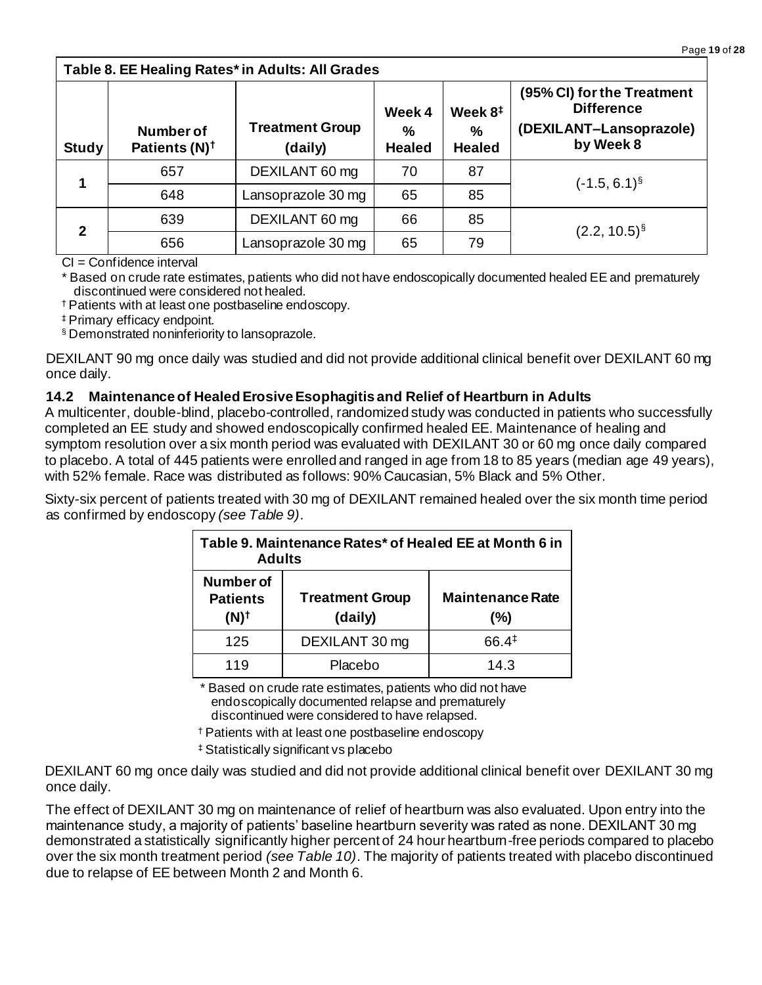| Table 8. EE Healing Rates* in Adults: All Grades |                                               |                                   |                              |                                           |                                                                                         |
|--------------------------------------------------|-----------------------------------------------|-----------------------------------|------------------------------|-------------------------------------------|-----------------------------------------------------------------------------------------|
| <b>Study</b>                                     | <b>Number of</b><br>Patients (N) <sup>†</sup> | <b>Treatment Group</b><br>(daily) | Week 4<br>%<br><b>Healed</b> | Week $8^{\ddagger}$<br>%<br><b>Healed</b> | (95% CI) for the Treatment<br><b>Difference</b><br>(DEXILANT-Lansoprazole)<br>by Week 8 |
| 1                                                | 657                                           | DEXILANT 60 mg                    | 70                           | 87                                        | $(-1.5, 6.1)$ <sup>§</sup>                                                              |
|                                                  | 648                                           | Lansoprazole 30 mg                | 65                           | 85                                        |                                                                                         |
| $\mathbf{2}$                                     | 639                                           | DEXILANT 60 mg                    | 66                           | 85                                        | $(2.2, 10.5)^{\S}$                                                                      |
|                                                  | 656                                           | Lansoprazole 30 mg                | 65                           | 79                                        |                                                                                         |

CI = Confidence interval

\* Based on crude rate estimates, patients who did not have endoscopically documented healed EE and prematurely discontinued were considered not healed.

† Patients with at least one postbaseline endoscopy.

‡ Primary efficacy endpoint.

§ Demonstrated noninferiority to lansoprazole.

DEXILANT 90 mg once daily was studied and did not provide additional clinical benefit over DEXILANT 60 mg once daily.

#### **14.2 Maintenance of Healed Erosive Esophagitis and Relief of Heartburn in Adults**

A multicenter, double-blind, placebo-controlled, randomized study was conducted in patients who successfully completed an EE study and showed endoscopically confirmed healed EE. Maintenance of healing and symptom resolution over a six month period was evaluated with DEXILANT 30 or 60 mg once daily compared to placebo. A total of 445 patients were enrolled and ranged in age from 18 to 85 years (median age 49 years), with 52% female. Race was distributed as follows: 90% Caucasian, 5% Black and 5% Other.

Sixty-six percent of patients treated with 30 mg of DEXILANT remained healed over the six month time period as confirmed by endoscopy *(see Table 9)*.

| Table 9. Maintenance Rates* of Healed EE at Month 6 in<br><b>Adults</b>                                              |                |                   |
|----------------------------------------------------------------------------------------------------------------------|----------------|-------------------|
| Number of<br><b>Maintenance Rate</b><br><b>Treatment Group</b><br><b>Patients</b><br>$(N)^\dagger$<br>(daily)<br>(%) |                |                   |
| 125                                                                                                                  | DEXILANT 30 mg | $66.4^{\ddagger}$ |
| 119                                                                                                                  | Placebo        | 14.3              |

\* Based on crude rate estimates, patients who did not have endoscopically documented relapse and prematurely discontinued were considered to have relapsed.

† Patients with at least one postbaseline endoscopy

‡ Statistically significant vs placebo

DEXILANT 60 mg once daily was studied and did not provide additional clinical benefit over DEXILANT 30 mg once daily.

The effect of DEXILANT 30 mg on maintenance of relief of heartburn was also evaluated. Upon entry into the maintenance study, a majority of patients' baseline heartburn severity was rated as none. DEXILANT 30 mg demonstrated a statistically significantly higher percent of 24 hour heartburn-free periods compared to placebo over the six month treatment period *(see Table 10)*. The majority of patients treated with placebo discontinued due to relapse of EE between Month 2 and Month 6.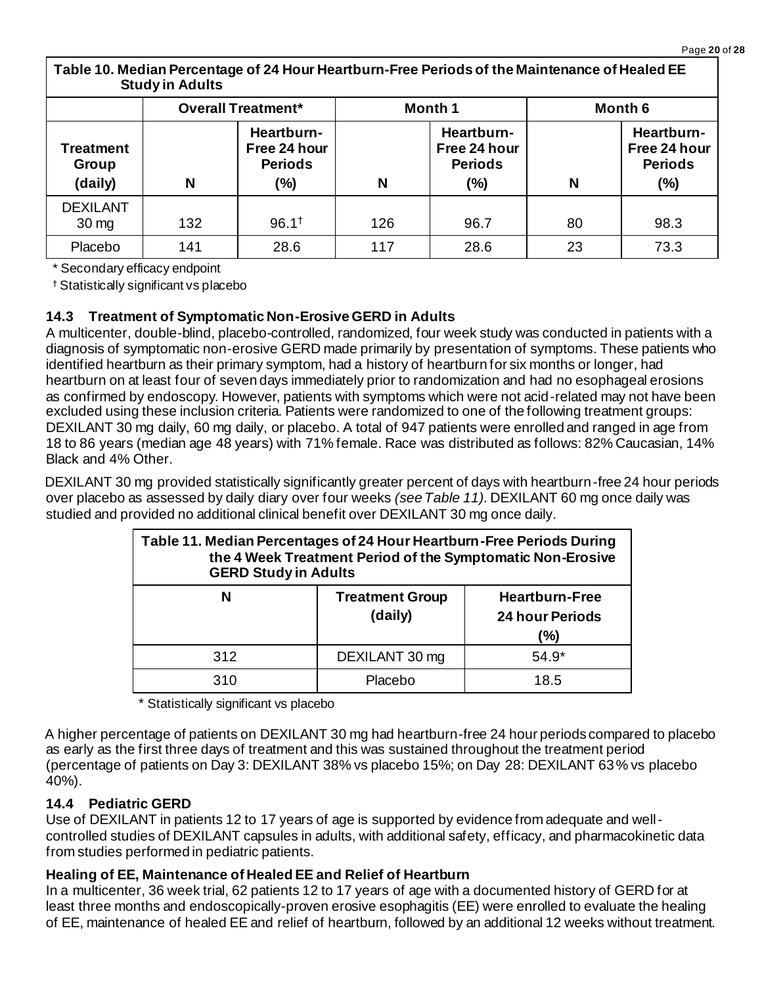| Table TV. Mediali Percentage of 24 Hour Heartburn-Free Periods of the Maillienance of Healed EE<br><b>Study in Adults</b> |                           |                                                     |         |                                                        |         |                                                        |
|---------------------------------------------------------------------------------------------------------------------------|---------------------------|-----------------------------------------------------|---------|--------------------------------------------------------|---------|--------------------------------------------------------|
|                                                                                                                           | <b>Overall Treatment*</b> |                                                     | Month 1 |                                                        | Month 6 |                                                        |
| Treatment<br>Group<br>(daily)                                                                                             | N                         | Heartburn-<br>Free 24 hour<br><b>Periods</b><br>(%) | N       | Heartburn-<br>Free 24 hour<br><b>Periods</b><br>$(\%)$ | N       | Heartburn-<br>Free 24 hour<br><b>Periods</b><br>$(\%)$ |
| <b>DEXILANT</b><br>$30 \,\mathrm{mg}$                                                                                     | 132                       | $96.1^+$                                            | 126     | 96.7                                                   | 80      | 98.3                                                   |
| Placebo                                                                                                                   | 141                       | 28.6                                                | 117     | 28.6                                                   | 23      | 73.3                                                   |

**Table 10. Median Percentage of 24 Hour Heartburn-Free Periods of the Maintenance of Healed EE** 

\* Secondary efficacy endpoint

† Statistically significant vs placebo

#### **14.3 Treatment of Symptomatic Non-Erosive GERD in Adults**

A multicenter, double-blind, placebo-controlled, randomized, four week study was conducted in patients with a diagnosis of symptomatic non-erosive GERD made primarily by presentation of symptoms. These patients who identified heartburn as their primary symptom, had a history of heartburn for six months or longer, had heartburn on at least four of seven days immediately prior to randomization and had no esophageal erosions as confirmed by endoscopy. However, patients with symptoms which were not acid-related may not have been excluded using these inclusion criteria. Patients were randomized to one of the following treatment groups: DEXILANT 30 mg daily, 60 mg daily, or placebo. A total of 947 patients were enrolled and ranged in age from 18 to 86 years (median age 48 years) with 71% female. Race was distributed as follows: 82% Caucasian, 14% Black and 4% Other.

DEXILANT 30 mg provided statistically significantly greater percent of days with heartburn-free 24 hour periods over placebo as assessed by daily diary over four weeks *(see Table 11)*. DEXILANT 60 mg once daily was studied and provided no additional clinical benefit over DEXILANT 30 mg once daily.

| Table 11. Median Percentages of 24 Hour Heartburn-Free Periods During<br>the 4 Week Treatment Period of the Symptomatic Non-Erosive<br><b>GERD Study in Adults</b> |                                   |                                                        |  |  |
|--------------------------------------------------------------------------------------------------------------------------------------------------------------------|-----------------------------------|--------------------------------------------------------|--|--|
| N                                                                                                                                                                  | <b>Treatment Group</b><br>(daily) | <b>Heartburn-Free</b><br><b>24 hour Periods</b><br>(%) |  |  |
| 312                                                                                                                                                                | DEXILANT 30 mg                    | $54.9*$                                                |  |  |
| 310                                                                                                                                                                | Placebo                           | 18.5                                                   |  |  |

\* Statistically significant vs placebo

A higher percentage of patients on DEXILANT 30 mg had heartburn-free 24 hour periods compared to placebo as early as the first three days of treatment and this was sustained throughout the treatment period (percentage of patients on Day 3: DEXILANT 38% vs placebo 15%; on Day 28: DEXILANT 63% vs placebo 40%).

#### **14.4 Pediatric GERD**

Use of DEXILANT in patients 12 to 17 years of age is supported by evidence from adequate and wellcontrolled studies of DEXILANT capsules in adults, with additional safety, efficacy, and pharmacokinetic data from studies performed in pediatric patients.

#### **Healing of EE, Maintenance of Healed EE and Relief of Heartburn**

In a multicenter, 36 week trial, 62 patients 12 to 17 years of age with a documented history of GERD for at least three months and endoscopically-proven erosive esophagitis (EE) were enrolled to evaluate the healing of EE, maintenance of healed EE and relief of heartburn, followed by an additional 12 weeks without treatment.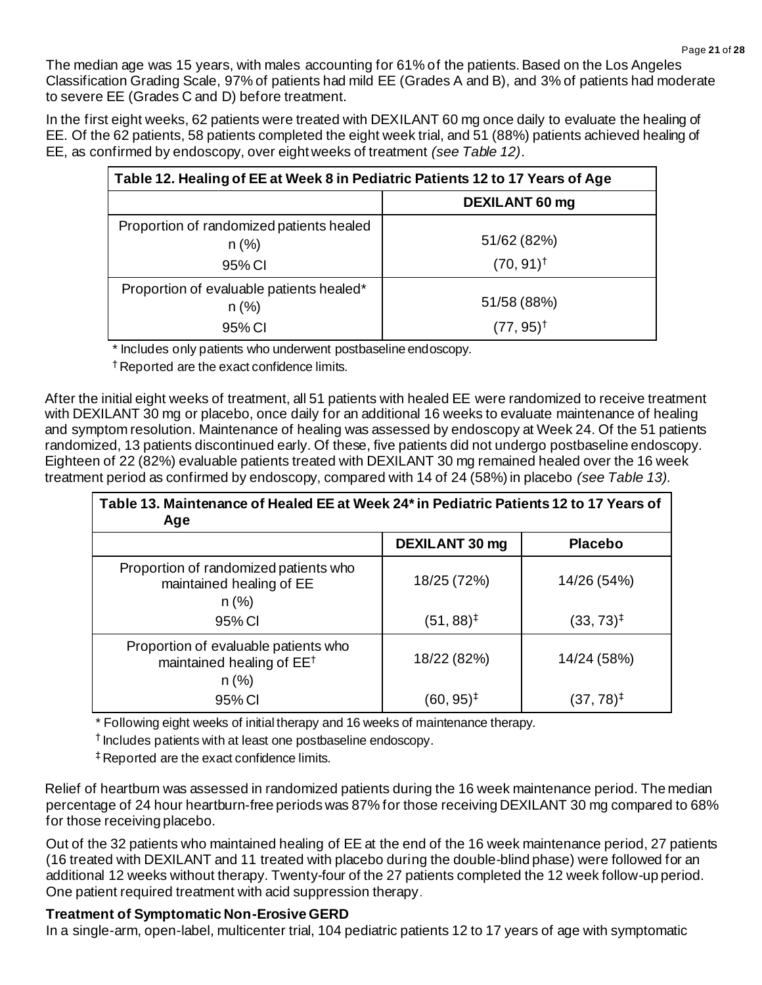The median age was 15 years, with males accounting for 61% of the patients. Based on the Los Angeles Classification Grading Scale, 97% of patients had mild EE (Grades A and B), and 3% of patients had moderate to severe EE (Grades C and D) before treatment.

In the first eight weeks, 62 patients were treated with DEXILANT 60 mg once daily to evaluate the healing of EE. Of the 62 patients, 58 patients completed the eight week trial, and 51 (88%) patients achieved healing of EE, as confirmed by endoscopy, over eight weeks of treatment *(see Table 12)*.

| Table 12. Healing of EE at Week 8 in Pediatric Patients 12 to 17 Years of Age |                                        |  |
|-------------------------------------------------------------------------------|----------------------------------------|--|
|                                                                               | <b>DEXILANT 60 mg</b>                  |  |
| Proportion of randomized patients healed<br>$n (\%)$<br>95% CI                | 51/62 (82%)<br>$(70, 91)$ <sup>†</sup> |  |
| Proportion of evaluable patients healed*<br>$n (\%)$<br>95% CI                | 51/58 (88%)<br>$(77, 95)^{\dagger}$    |  |

\* Includes only patients who underwent postbaseline endoscopy.

† Reported are the exact confidence limits.

After the initial eight weeks of treatment, all 51 patients with healed EE were randomized to receive treatment with DEXILANT 30 mg or placebo, once daily for an additional 16 weeks to evaluate maintenance of healing and symptom resolution. Maintenance of healing was assessed by endoscopy at Week 24. Of the 51 patients randomized, 13 patients discontinued early. Of these, five patients did not undergo postbaseline endoscopy. Eighteen of 22 (82%) evaluable patients treated with DEXILANT 30 mg remained healed over the 16 week treatment period as confirmed by endoscopy, compared with 14 of 24 (58%) in placebo *(see Table 13)*.

| Table 13. Maintenance of Healed EE at Week 24* in Pediatric Patients 12 to 17 Years of<br>Age |                       |                       |  |  |
|-----------------------------------------------------------------------------------------------|-----------------------|-----------------------|--|--|
|                                                                                               | <b>DEXILANT 30 mg</b> | <b>Placebo</b>        |  |  |
| Proportion of randomized patients who<br>maintained healing of EE<br>$n (\%)$                 | 18/25 (72%)           | 14/26 (54%)           |  |  |
| 95% CI                                                                                        | $(51, 88)^{\ddagger}$ | $(33, 73)^{\ddagger}$ |  |  |
| Proportion of evaluable patients who<br>maintained healing of EE <sup>+</sup><br>n (%)        | 18/22 (82%)           | 14/24 (58%)           |  |  |
| 95% CI                                                                                        | $(60, 95)^{\ddagger}$ | $(37, 78)^{\ddagger}$ |  |  |

\* Following eight weeks of initial therapy and 16 weeks of maintenance therapy.

† Includes patients with at least one postbaseline endoscopy.

‡ Reported are the exact confidence limits.

Relief of heartburn was assessed in randomized patients during the 16 week maintenance period. The median percentage of 24 hour heartburn-free periods was 87% for those receiving DEXILANT 30 mg compared to 68% for those receiving placebo.

Out of the 32 patients who maintained healing of EE at the end of the 16 week maintenance period, 27 patients (16 treated with DEXILANT and 11 treated with placebo during the double-blind phase) were followed for an additional 12 weeks without therapy. Twenty-four of the 27 patients completed the 12 week follow-up period. One patient required treatment with acid suppression therapy.

#### **Treatment of Symptomatic Non-Erosive GERD**

In a single-arm, open-label, multicenter trial, 104 pediatric patients 12 to 17 years of age with symptomatic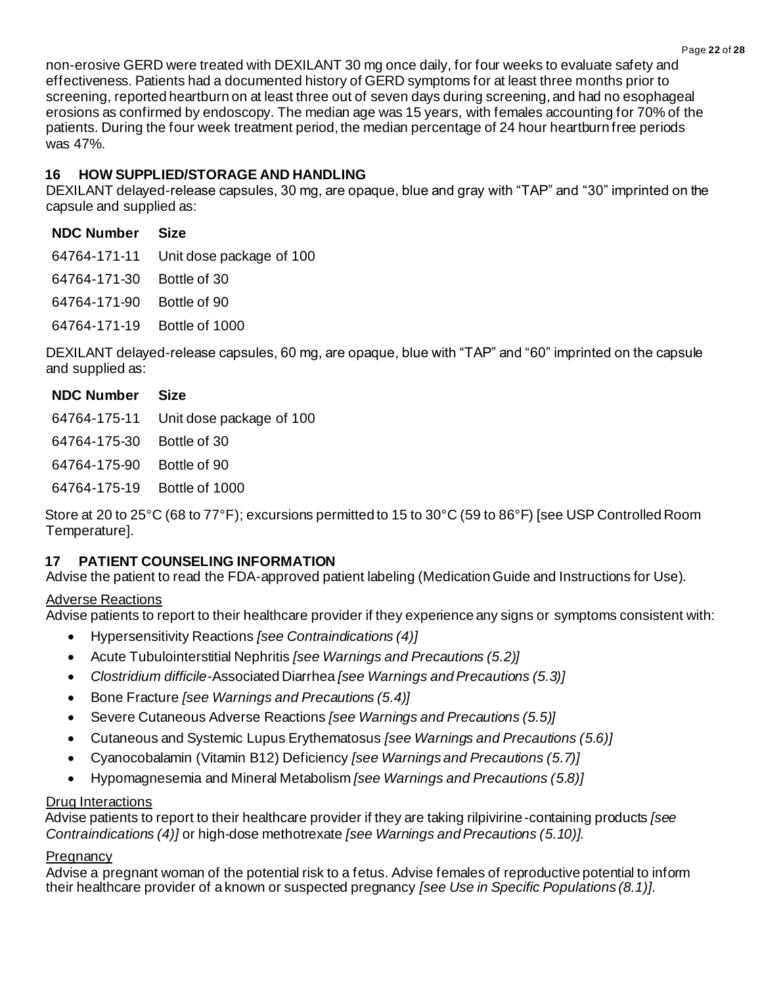non-erosive GERD were treated with DEXILANT 30 mg once daily, for four weeks to evaluate safety and effectiveness. Patients had a documented history of GERD symptoms for at least three months prior to screening, reported heartburn on at least three out of seven days during screening, and had no esophageal erosions as confirmed by endoscopy. The median age was 15 years, with females accounting for 70% of the patients. During the four week treatment period, the median percentage of 24 hour heartburn free periods was 47%.

# **16 HOW SUPPLIED/STORAGE AND HANDLING**

DEXILANT delayed-release capsules, 30 mg, are opaque, blue and gray with "TAP" and "30" imprinted on the capsule and supplied as:

64764-171-11 Unit dose package of 100

64764-171-90 Bottle of 90

64764-171-19 Bottle of 1000

DEXILANT delayed-release capsules, 60 mg, are opaque, blue with "TAP" and "60" imprinted on the capsule and supplied as:

| <b>NDC Number</b>           | Size                                  |
|-----------------------------|---------------------------------------|
|                             | 64764-175-11 Unit dose package of 100 |
| 64764-175-30                | Bottle of 30                          |
| 64764-175-90                | Bottle of 90                          |
| 64764-175-19 Bottle of 1000 |                                       |
|                             |                                       |

Store at 20 to 25°C (68 to 77°F); excursions permitted to 15 to 30°C (59 to 86°F) [see USP Controlled Room Temperature].

# **17 PATIENT COUNSELING INFORMATION**

Advise the patient to read the FDA-approved patient labeling (Medication Guide and Instructions for Use).

## Adverse Reactions

Advise patients to report to their healthcare provider if they experience any signs or symptoms consistent with:

- Hypersensitivity Reactions *[see Contraindications (4)]*
- Acute Tubulointerstitial Nephritis *[see Warnings and Precautions (5.2)]*
- *Clostridium difficile-*Associated Diarrhea *[see Warnings and Precautions (5.3)]*
- Bone Fracture *[see Warnings and Precautions (5.4)]*
- Severe Cutaneous Adverse Reactions *[see Warnings and Precautions (5.5)]*
- Cutaneous and Systemic Lupus Erythematosus *[see Warnings and Precautions (5.6)]*
- Cyanocobalamin (Vitamin B12) Deficiency *[see Warnings and Precautions (5.7)]*
- Hypomagnesemia and Mineral Metabolism *[see Warnings and Precautions (5.8)]*

## Drug Interactions

Advise patients to report to their healthcare provider if they are taking rilpivirine-containing products *[see Contraindications (4)]* or high-dose methotrexate *[see Warnings and Precautions (5.10)]*.

## **Pregnancy**

Advise a pregnant woman of the potential risk to a fetus. Advise females of reproductive potential to inform their healthcare provider of a known or suspected pregnancy *[see Use in Specific Populations (8.1)]*.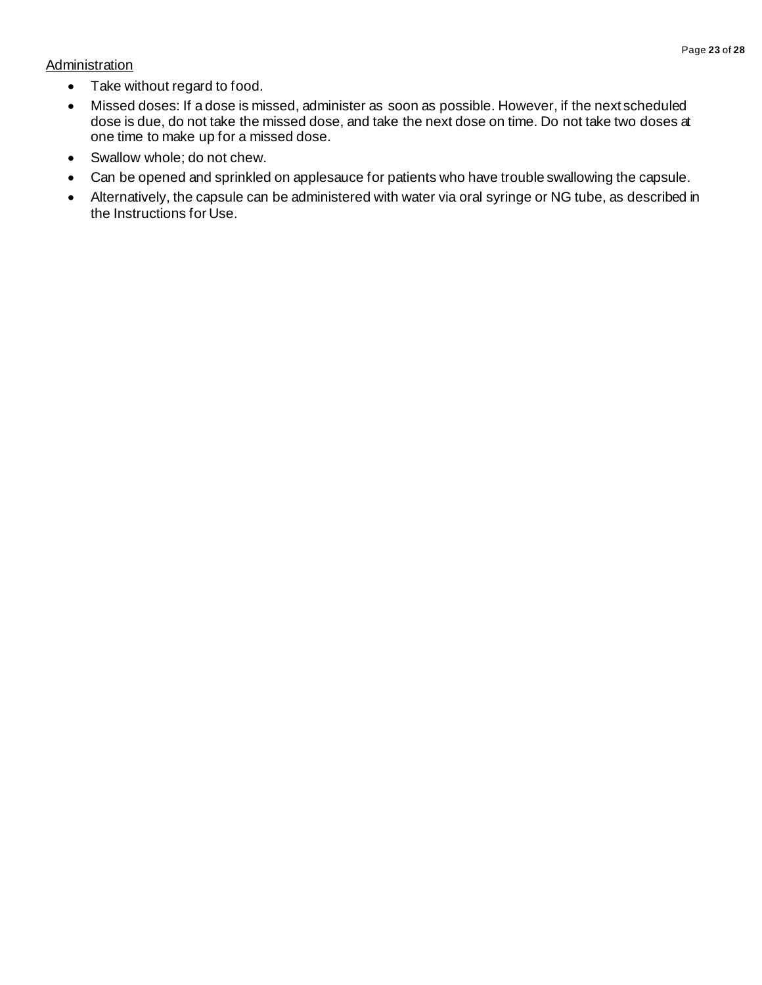#### **Administration**

- Take without regard to food.
- Missed doses: If a dose is missed, administer as soon as possible. However, if the next scheduled dose is due, do not take the missed dose, and take the next dose on time. Do not take two doses at one time to make up for a missed dose.
- Swallow whole; do not chew.
- Can be opened and sprinkled on applesauce for patients who have trouble swallowing the capsule.
- Alternatively, the capsule can be administered with water via oral syringe or NG tube, as described in the Instructions for Use.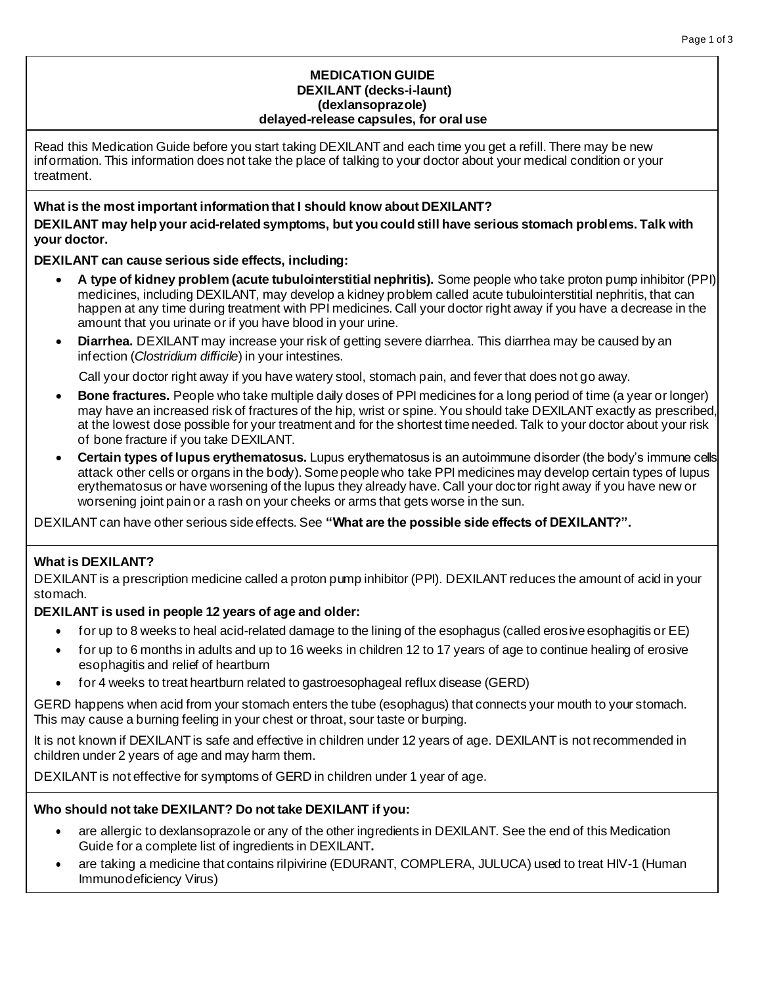#### **MEDICATION GUIDE DEXILANT (decks-i-launt) (dexlansoprazole) delayed-release capsules, for oral use**

Read this Medication Guide before you start taking DEXILANT and each time you get a refill. There may be new information. This information does not take the place of talking to your doctor about your medical condition or your treatment.

## **What is the most important information that I should know about DEXILANT?**

**DEXILANT may help your acid-related symptoms, but you could still have serious stomach problems. Talk with your doctor.**

**DEXILANT can cause serious side effects, including:**

- **A type of kidney problem (acute tubulointerstitial nephritis).** Some people who take proton pump inhibitor (PPI) medicines, including DEXILANT, may develop a kidney problem called acute tubulointerstitial nephritis, that can happen at any time during treatment with PPI medicines. Call your doctor right away if you have a decrease in the amount that you urinate or if you have blood in your urine.
- **Diarrhea.** DEXILANT may increase your risk of getting severe diarrhea. This diarrhea may be caused by an infection (*Clostridium difficile*) in your intestines.

Call your doctor right away if you have watery stool, stomach pain, and fever that does not go away.

- **Bone fractures.** People who take multiple daily doses of PPI medicines for a long period of time (a year or longer) may have an increased risk of fractures of the hip, wrist or spine. You should take DEXILANT exactly as prescribed, at the lowest dose possible for your treatment and for the shortest time needed. Talk to your doctor about your risk of bone fracture if you take DEXILANT.
- **Certain types of lupus erythematosus.** Lupus erythematosus is an autoimmune disorder (the body's immune cells attack other cells or organs in the body). Some people who take PPI medicines may develop certain types of lupus erythematosus or have worsening of the lupus they already have. Call your doctor right away if you have new or worsening joint pain or a rash on your cheeks or arms that gets worse in the sun.

DEXILANT can have other serious side effects. See **"What are the possible side effects of DEXILANT?".**

## **What is DEXILANT?**

DEXILANT is a prescription medicine called a proton pump inhibitor (PPI). DEXILANT reduces the amount of acid in your stomach.

## **DEXILANT is used in people 12 years of age and older:**

- for up to 8 weeks to heal acid-related damage to the lining of the esophagus (called erosive esophagitis or EE)
- for up to 6 months in adults and up to 16 weeks in children 12 to 17 years of age to continue healing of erosive esophagitis and relief of heartburn
- for 4 weeks to treat heartburn related to gastroesophageal reflux disease (GERD)

GERD happens when acid from your stomach enters the tube (esophagus) that connects your mouth to your stomach. This may cause a burning feeling in your chest or throat, sour taste or burping.

It is not known if DEXILANT is safe and effective in children under 12 years of age. DEXILANT is not recommended in children under 2 years of age and may harm them.

DEXILANT is not effective for symptoms of GERD in children under 1 year of age.

## **Who should not take DEXILANT? Do not take DEXILANT if you:**

- are allergic to dexlansoprazole or any of the other ingredients in DEXILANT. See the end of this Medication Guide for a complete list of ingredients in DEXILANT**.**
- are taking a medicine that contains rilpivirine (EDURANT, COMPLERA, JULUCA) used to treat HIV-1 (Human Immunodeficiency Virus)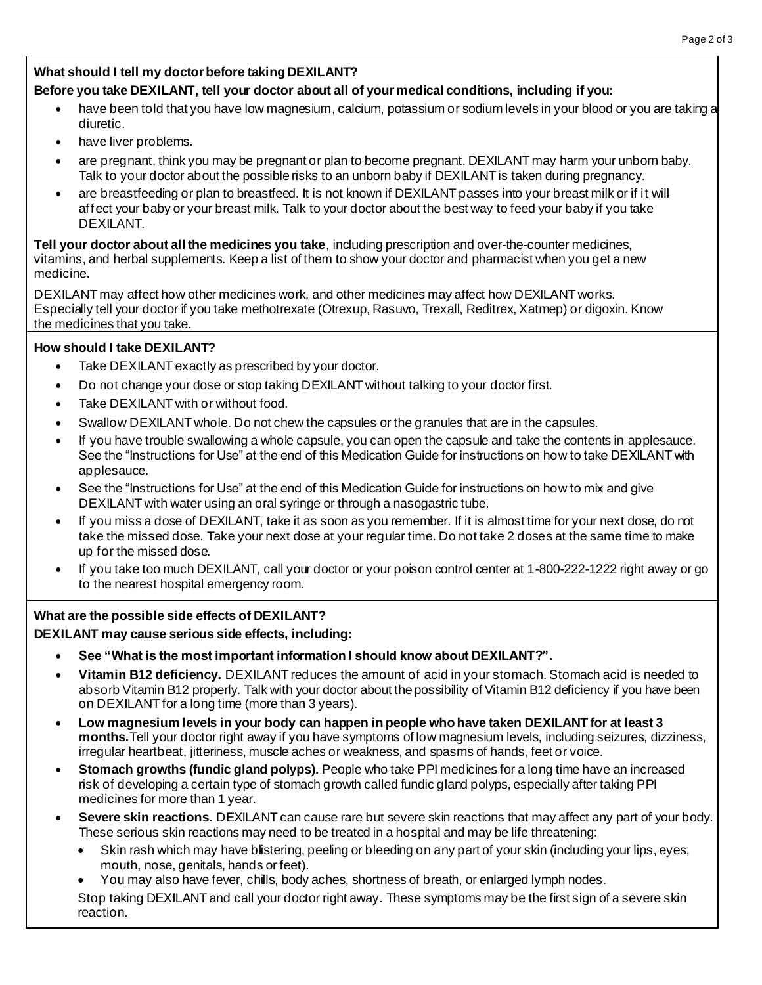# **What should I tell my doctor before taking DEXILANT? Before you take DEXILANT, tell your doctor about all of your medical conditions, including if you:**

- have been told that you have low magnesium, calcium, potassium or sodium levels in your blood or you are taking a diuretic.
- have liver problems.
- are pregnant, think you may be pregnant or plan to become pregnant. DEXILANT may harm your unborn baby. Talk to your doctor about the possible risks to an unborn baby if DEXILANT is taken during pregnancy.
- are breastfeeding or plan to breastfeed. It is not known if DEXILANT passes into your breast milk or if it will affect your baby or your breast milk. Talk to your doctor about the best way to feed your baby if you take DEXILANT.

**Tell your doctor about all the medicines you take**, including prescription and over-the-counter medicines, vitamins, and herbal supplements. Keep a list of them to show your doctor and pharmacist when you get a new medicine.

DEXILANT may affect how other medicines work, and other medicines may affect how DEXILANT works. Especially tell your doctor if you take methotrexate (Otrexup, Rasuvo, Trexall, Reditrex, Xatmep) or digoxin. Know the medicines that you take.

## **How should I take DEXILANT?**

- Take DEXILANT exactly as prescribed by your doctor.
- Do not change your dose or stop taking DEXILANT without talking to your doctor first.
- Take DEXILANT with or without food.
- Swallow DEXILANT whole. Do not chew the capsules or the granules that are in the capsules.
- If you have trouble swallowing a whole capsule, you can open the capsule and take the contents in applesauce. See the "Instructions for Use" at the end of this Medication Guide for instructions on how to take DEXILANT with applesauce.
- See the "Instructions for Use" at the end of this Medication Guide for instructions on how to mix and give DEXILANT with water using an oral syringe or through a nasogastric tube.
- If you miss a dose of DEXILANT, take it as soon as you remember. If it is almost time for your next dose, do not take the missed dose. Take your next dose at your regular time. Do not take 2 doses at the same time to make up for the missed dose.
- If you take too much DEXILANT, call your doctor or your poison control center at 1-800-222-1222 right away or go to the nearest hospital emergency room.

## **What are the possible side effects of DEXILANT?**

**DEXILANT may cause serious side effects, including:**

- **See "What is the most important information I should know about DEXILANT?".**
- **Vitamin B12 deficiency.** DEXILANT reduces the amount of acid in your stomach. Stomach acid is needed to absorb Vitamin B12 properly. Talk with your doctor about the possibility of Vitamin B12 deficiency if you have been on DEXILANT for a long time (more than 3 years).
- **Low magnesium levels in your body can happen in people who have taken DEXILANT for at least 3 months.**Tell your doctor right away if you have symptoms of low magnesium levels, including seizures, dizziness, irregular heartbeat, jitteriness, muscle aches or weakness, and spasms of hands, feet or voice.
- **Stomach growths (fundic gland polyps).** People who take PPI medicines for a long time have an increased risk of developing a certain type of stomach growth called fundic gland polyps, especially after taking PPI medicines for more than 1 year.
- **Severe skin reactions.** DEXILANT can cause rare but severe skin reactions that may affect any part of your body. These serious skin reactions may need to be treated in a hospital and may be life threatening:
	- Skin rash which may have blistering, peeling or bleeding on any part of your skin (including your lips, eyes, mouth, nose, genitals, hands or feet).
	- You may also have fever, chills, body aches, shortness of breath, or enlarged lymph nodes.

Stop taking DEXILANT and call your doctor right away. These symptoms may be the first sign of a severe skin reaction.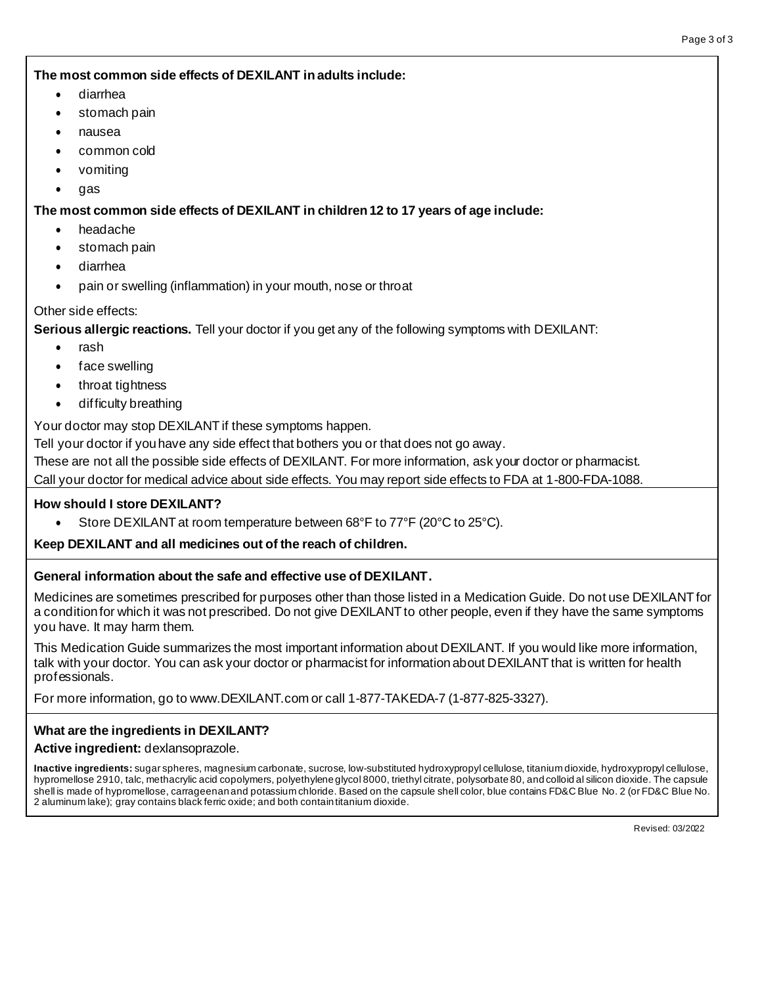#### **The most common side effects of DEXILANT in adults include:**

- diarrhea
- stomach pain
- nausea
- common cold
- vomiting
- gas

#### **The most common side effects of DEXILANT in children 12 to 17 years of age include:**

- headache
- stomach pain
- diarrhea
- pain or swelling (inflammation) in your mouth, nose or throat

#### Other side effects:

**Serious allergic reactions.** Tell your doctor if you get any of the following symptoms with DEXILANT:

- rash
- face swelling
- throat tightness
- difficulty breathing

Your doctor may stop DEXILANT if these symptoms happen.

Tell your doctor if you have any side effect that bothers you or that does not go away.

These are not all the possible side effects of DEXILANT. For more information, ask your doctor or pharmacist.

Call your doctor for medical advice about side effects. You may report side effects to FDA at 1-800-FDA-1088.

#### **How should I store DEXILANT?**

• Store DEXILANT at room temperature between 68°F to 77°F (20°C to 25°C).

#### **Keep DEXILANT and all medicines out of the reach of children.**

#### **General information about the safe and effective use of DEXILANT.**

Medicines are sometimes prescribed for purposes other than those listed in a Medication Guide. Do not use DEXILANT for a condition for which it was not prescribed. Do not give DEXILANT to other people, even if they have the same symptoms you have. It may harm them.

This Medication Guide summarizes the most important information about DEXILANT. If you would like more information, talk with your doctor. You can ask your doctor or pharmacist for information about DEXILANT that is written for health professionals.

For more information, go to www.DEXILANT.com or call 1-877-TAKEDA-7 (1-877-825-3327).

#### **What are the ingredients in DEXILANT?**

#### **Active ingredient:** dexlansoprazole.

**Inactive ingredients:** sugar spheres, magnesium carbonate, sucrose, low-substituted hydroxypropyl cellulose, titanium dioxide, hydroxypropyl cellulose, hypromellose 2910, talc, methacrylic acid copolymers, polyethylene glycol 8000, triethyl citrate, polysorbate 80, and colloid al silicon dioxide. The capsule shell is made of hypromellose, carrageenan and potassium chloride. Based on the capsule shell color, blue contains FD&C Blue No. 2 (or FD&C Blue No. 2 aluminum lake); gray contains black ferric oxide; and both contain titanium dioxide.

Revised: 03/2022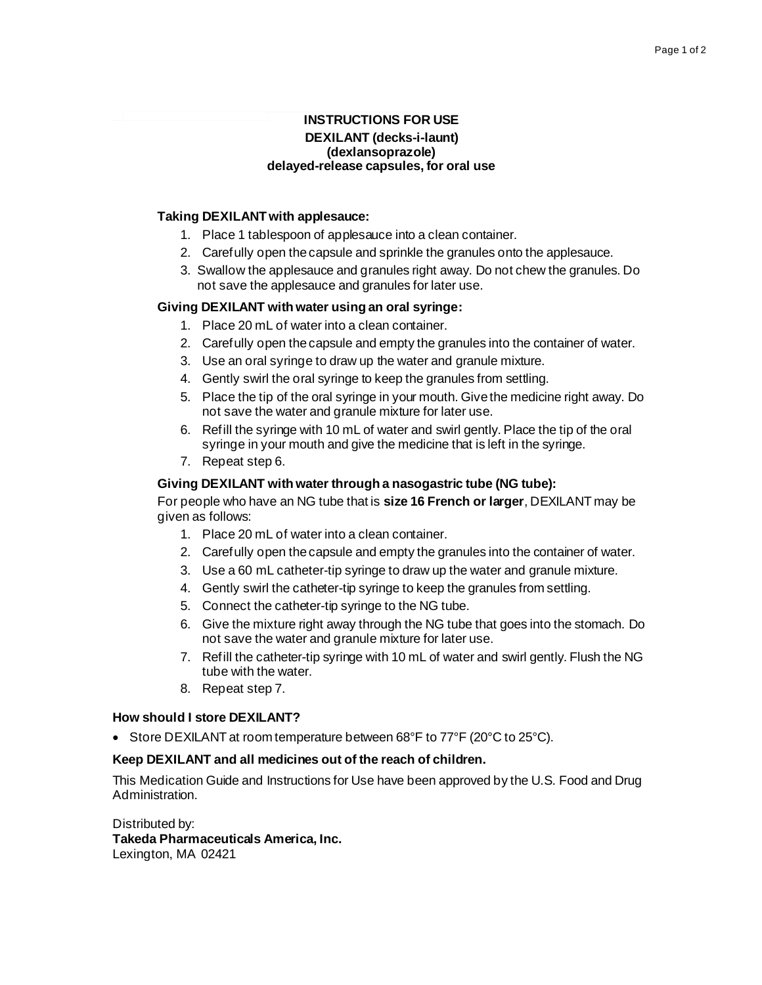#### **INSTRUCTIONS FOR USE DEXILANT (decks-i-launt) (dexlansoprazole) delayed-release capsules, for oral use**

#### **Taking DEXILANT with applesauce:**

- 1. Place 1 tablespoon of applesauce into a clean container.
- 2. Carefully open the capsule and sprinkle the granules onto the applesauce.
- 3. Swallow the applesauce and granules right away. Do not chew the granules. Do not save the applesauce and granules for later use.

#### **Giving DEXILANT with water using an oral syringe:**

- 1. Place 20 mL of water into a clean container.
- 2. Carefully open the capsule and empty the granules into the container of water.
- 3. Use an oral syringe to draw up the water and granule mixture.
- 4. Gently swirl the oral syringe to keep the granules from settling.
- 5. Place the tip of the oral syringe in your mouth. Give the medicine right away. Do not save the water and granule mixture for later use.
- 6. Refill the syringe with 10 mL of water and swirl gently. Place the tip of the oral syringe in your mouth and give the medicine that is left in the syringe.
- 7. Repeat step 6.

#### **Giving DEXILANT with water through a nasogastric tube (NG tube):**

For people who have an NG tube that is **size 16 French or larger**, DEXILANT may be given as follows:

- 1. Place 20 mL of water into a clean container.
- 2. Carefully open the capsule and empty the granules into the container of water.
- 3. Use a 60 mL catheter-tip syringe to draw up the water and granule mixture.
- 4. Gently swirl the catheter-tip syringe to keep the granules from settling.
- 5. Connect the catheter-tip syringe to the NG tube.
- 6. Give the mixture right away through the NG tube that goes into the stomach. Do not save the water and granule mixture for later use.
- 7. Refill the catheter-tip syringe with 10 mL of water and swirl gently. Flush the NG tube with the water.
- 8. Repeat step 7.

#### **How should I store DEXILANT?**

• Store DEXILANT at room temperature between 68°F to 77°F (20°C to 25°C).

#### **Keep DEXILANT and all medicines out of the reach of children.**

This Medication Guide and Instructions for Use have been approved by the U.S. Food and Drug Administration.

Distributed by: **Takeda Pharmaceuticals America, Inc.** Lexington, MA 02421